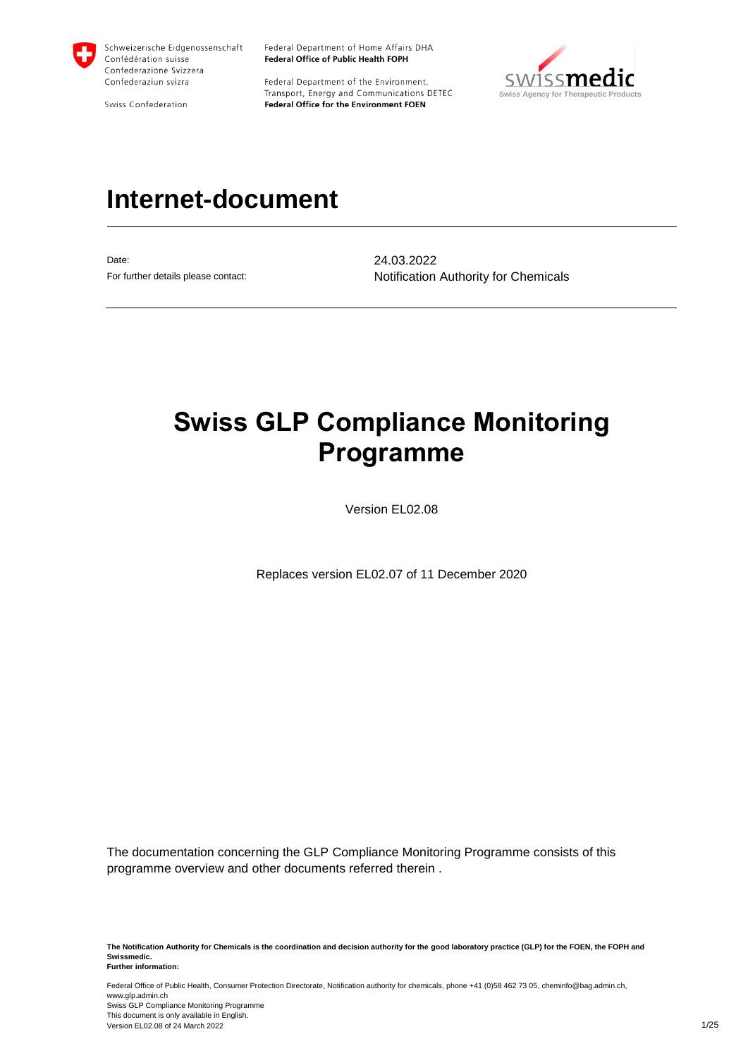

Swiss Confederation

Federal Department of Home Affairs DHA Federal Office of Public Health FOPH

Federal Department of the Environment, Transport, Energy and Communications DETEC Federal Office for the Environment FOEN



# **Internet-document**

Date: 24.03.2022

For further details please contact: Notification Authority for Chemicals

# **Swiss GLP Compliance Monitoring Programme**

Version EL02.08

Replaces version EL02.07 of 11 December 2020

The documentation concerning the GLP Compliance Monitoring Programme consists of this programme overview and other documents referred therein .

**The Notification Authority for Chemicals is the coordination and decision authority for the good laboratory practice (GLP) for the FOEN, the FOPH and Swissmedic. Further information:**

Federal Office of Public Health, Consumer Protection Directorate, Notification authority for chemicals, phone +41 (0)58 462 73 05, cheminfo@bag.admin.ch, www.glp.admin.ch Swiss GLP Compliance Monitoring Programme This document is only available in English. Version EL02.08 of 24 March 2022 1/25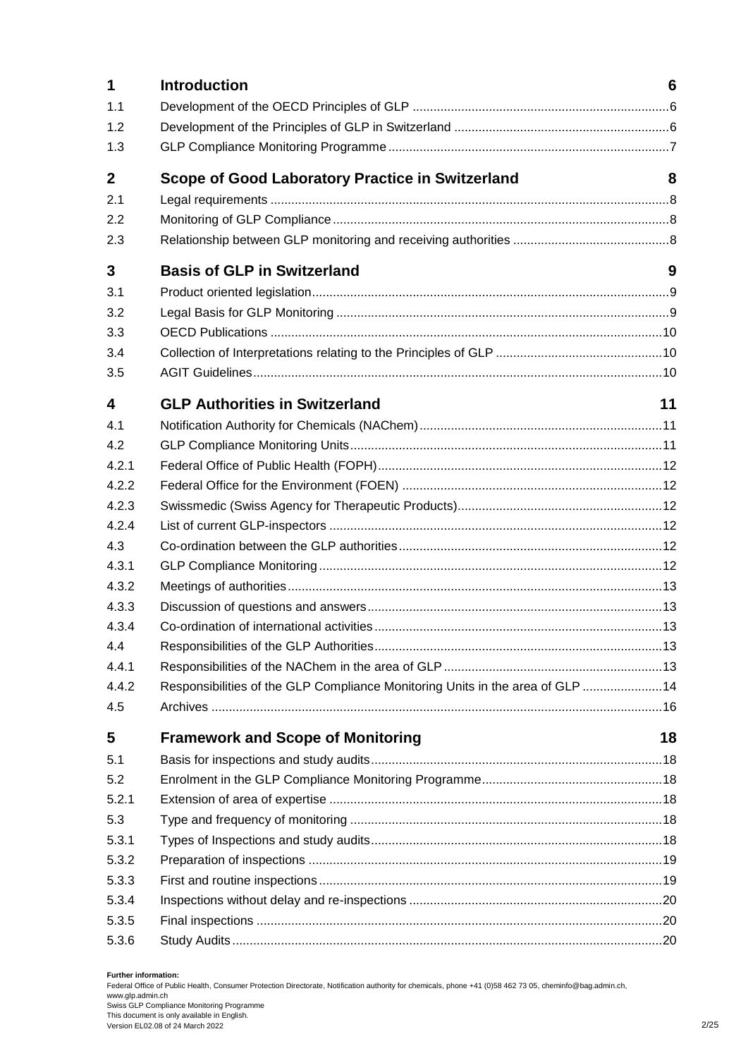| 1           | <b>Introduction</b>                                                           | 6  |
|-------------|-------------------------------------------------------------------------------|----|
| 1.1         |                                                                               |    |
| 1.2         |                                                                               |    |
| 1.3         |                                                                               |    |
| $\mathbf 2$ | <b>Scope of Good Laboratory Practice in Switzerland</b>                       | 8  |
| 2.1         |                                                                               |    |
| 2.2         |                                                                               |    |
| 2.3         |                                                                               |    |
| 3           | <b>Basis of GLP in Switzerland</b>                                            | 9  |
| 3.1         |                                                                               |    |
| 3.2         |                                                                               |    |
| 3.3         |                                                                               |    |
| 3.4         |                                                                               |    |
| 3.5         |                                                                               |    |
| 4           | <b>GLP Authorities in Switzerland</b>                                         | 11 |
| 4.1         |                                                                               |    |
| 4.2         |                                                                               |    |
| 4.2.1       |                                                                               |    |
| 4.2.2       |                                                                               |    |
| 4.2.3       |                                                                               |    |
| 4.2.4       |                                                                               |    |
| 4.3         |                                                                               |    |
| 4.3.1       |                                                                               |    |
| 4.3.2       |                                                                               |    |
| 4.3.3       |                                                                               |    |
| 4.3.4       |                                                                               |    |
| 4.4         |                                                                               |    |
| 4.4.1       |                                                                               |    |
| 4.4.2       | Responsibilities of the GLP Compliance Monitoring Units in the area of GLP 14 |    |
| 4.5         |                                                                               |    |
| 5           | <b>Framework and Scope of Monitoring</b>                                      | 18 |
| 5.1         |                                                                               |    |
| 5.2         |                                                                               |    |
| 5.2.1       |                                                                               |    |
| 5.3         |                                                                               |    |
| 5.3.1       |                                                                               |    |
| 5.3.2       |                                                                               |    |
| 5.3.3       |                                                                               |    |
| 5.3.4       |                                                                               |    |
| 5.3.5       |                                                                               |    |
| 5.3.6       |                                                                               |    |

#### **Further information:**

Federal Office of Public Health, Consumer Protection Directorate, Notification authority for chemicals, phone +41 (0)58 462 73 05, cheminfo@bag.admin.ch, www.glp.admin.ch Swiss GLP Compliance Monitoring Programme This document is only available in English. Version EL02.08 of 24 March 2022 2/25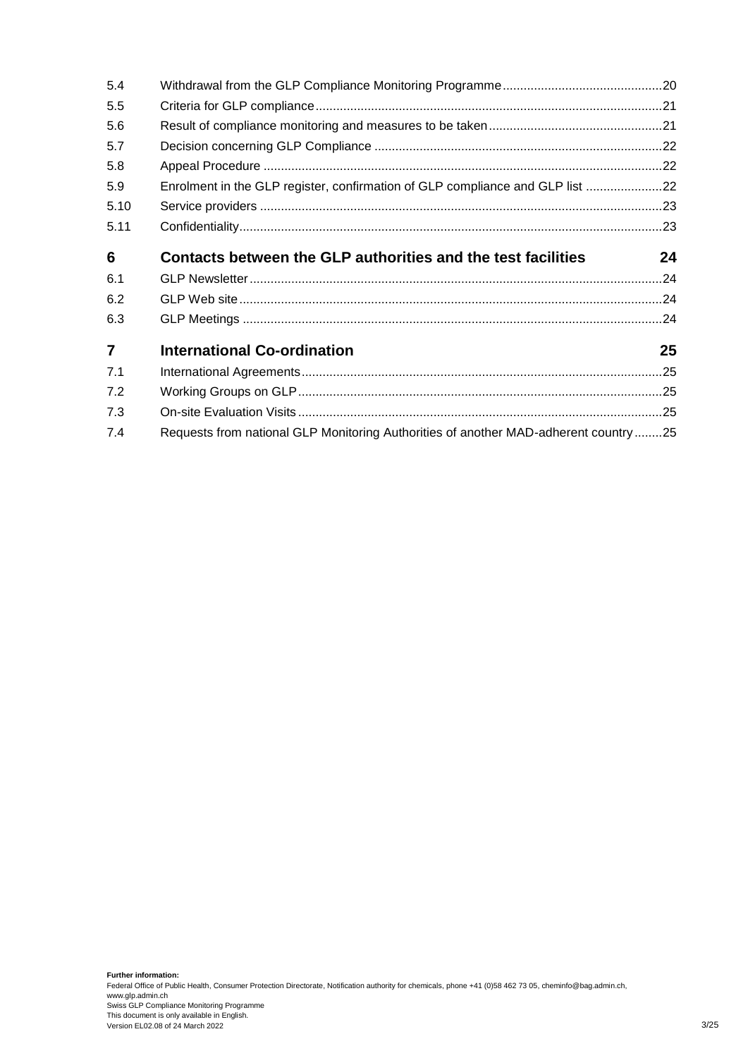| 5.4            |                                                                                     |    |
|----------------|-------------------------------------------------------------------------------------|----|
| 5.5            |                                                                                     |    |
| 5.6            |                                                                                     |    |
| 5.7            |                                                                                     |    |
| 5.8            |                                                                                     |    |
| 5.9            | Enrolment in the GLP register, confirmation of GLP compliance and GLP list 22       |    |
| 5.10           |                                                                                     |    |
| 5.11           |                                                                                     |    |
| 6              | Contacts between the GLP authorities and the test facilities                        | 24 |
| 6.1            |                                                                                     |    |
| 6.2            |                                                                                     |    |
| 6.3            |                                                                                     |    |
| $\overline{7}$ | <b>International Co-ordination</b>                                                  | 25 |
| 7.1            |                                                                                     |    |
| 7.2            |                                                                                     |    |
| 7.3            |                                                                                     |    |
| 7.4            | Requests from national GLP Monitoring Authorities of another MAD-adherent country25 |    |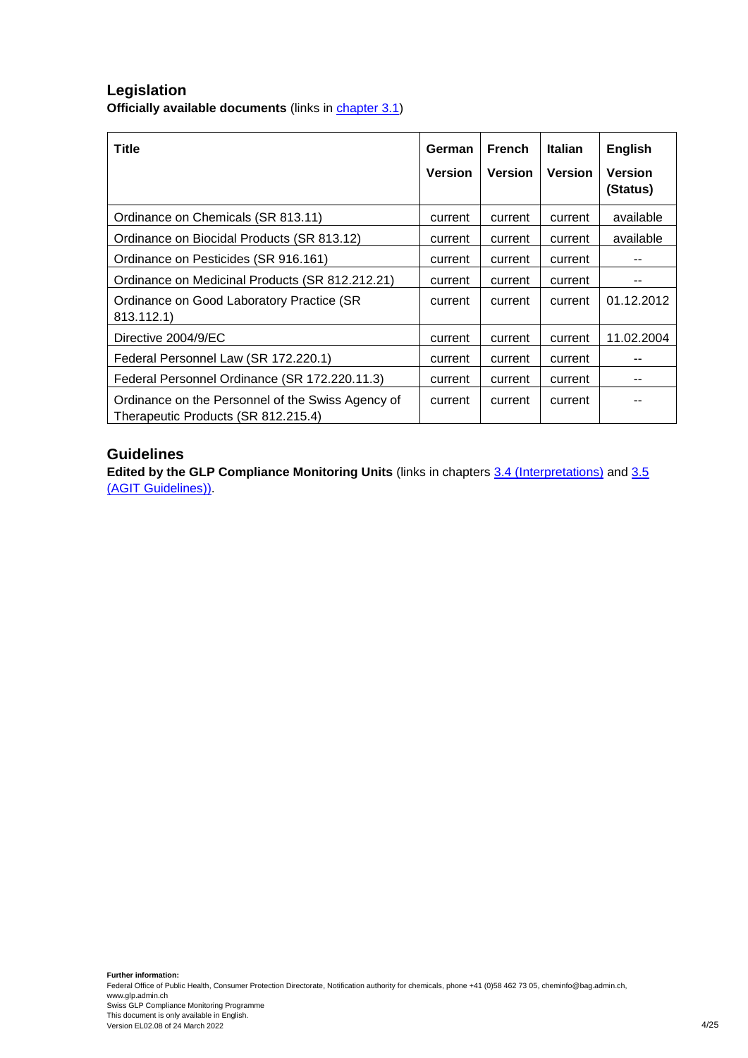## **Legislation Officially available documents** (links in [chapter 3.1\)](#page-8-1)

| <b>Title</b>                                                                             | German<br><b>Version</b> | <b>French</b><br><b>Version</b> | Italian<br><b>Version</b> | <b>English</b><br><b>Version</b><br>(Status) |
|------------------------------------------------------------------------------------------|--------------------------|---------------------------------|---------------------------|----------------------------------------------|
| Ordinance on Chemicals (SR 813.11)                                                       | current                  | current                         | current                   | available                                    |
| Ordinance on Biocidal Products (SR 813.12)                                               | current                  | current                         | current                   | available                                    |
| Ordinance on Pesticides (SR 916.161)                                                     | current                  | current                         | current                   |                                              |
| Ordinance on Medicinal Products (SR 812.212.21)                                          | current                  | current                         | current                   |                                              |
| Ordinance on Good Laboratory Practice (SR<br>813.112.1)                                  | current                  | current                         | current                   | 01.12.2012                                   |
| Directive 2004/9/EC                                                                      | current                  | current                         | current                   | 11.02.2004                                   |
| Federal Personnel Law (SR 172.220.1)                                                     | current                  | current                         | current                   |                                              |
| Federal Personnel Ordinance (SR 172.220.11.3)                                            | current                  | current                         | current                   |                                              |
| Ordinance on the Personnel of the Swiss Agency of<br>Therapeutic Products (SR 812.215.4) | current                  | current                         | current                   |                                              |

## **Guidelines**

**Edited by the GLP Compliance Monitoring Units** (links in chapters [3.4](#page-9-1) (Interpretations) and [3.5](#page-9-3) (AGIT Guidelines)).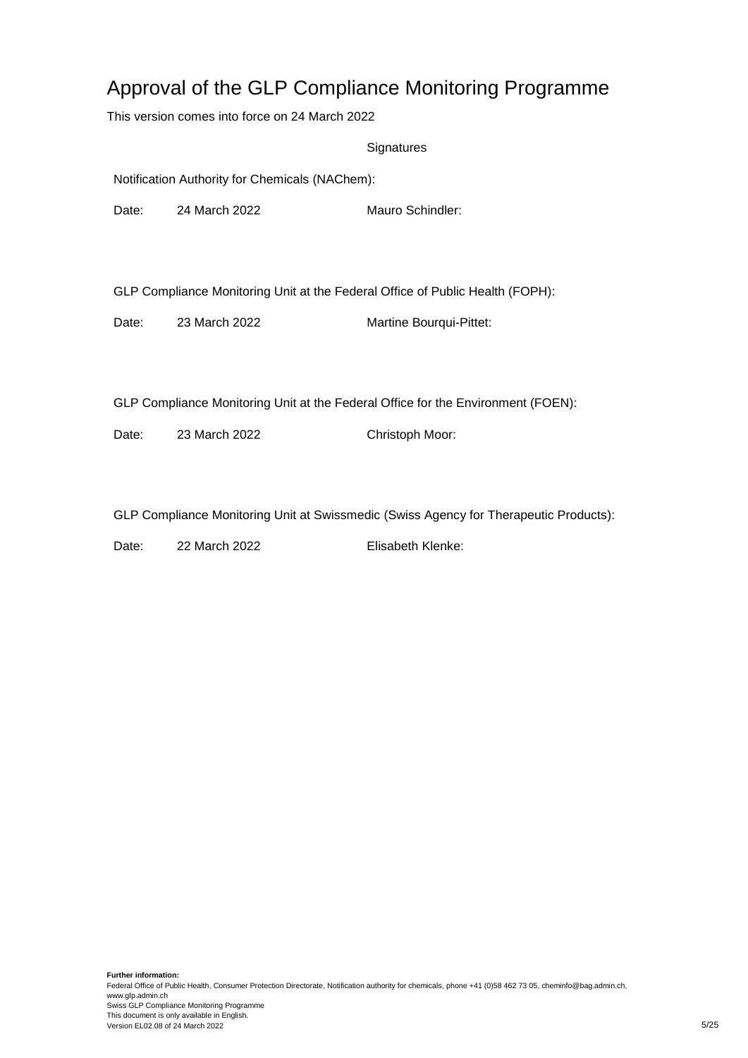# Approval of the GLP Compliance Monitoring Programme

This version comes into force on 24 March 2022

**Signatures** 

Notification Authority for Chemicals (NAChem):

Date: 24 March 2022 Mauro Schindler:

GLP Compliance Monitoring Unit at the Federal Office of Public Health (FOPH):

Date: 23 March 2022 Martine Bourqui-Pittet:

GLP Compliance Monitoring Unit at the Federal Office for the Environment (FOEN):

Date: 23 March 2022 Christoph Moor:

GLP Compliance Monitoring Unit at Swissmedic (Swiss Agency for Therapeutic Products):

Date: 22 March 2022 **Elisabeth Klenke:**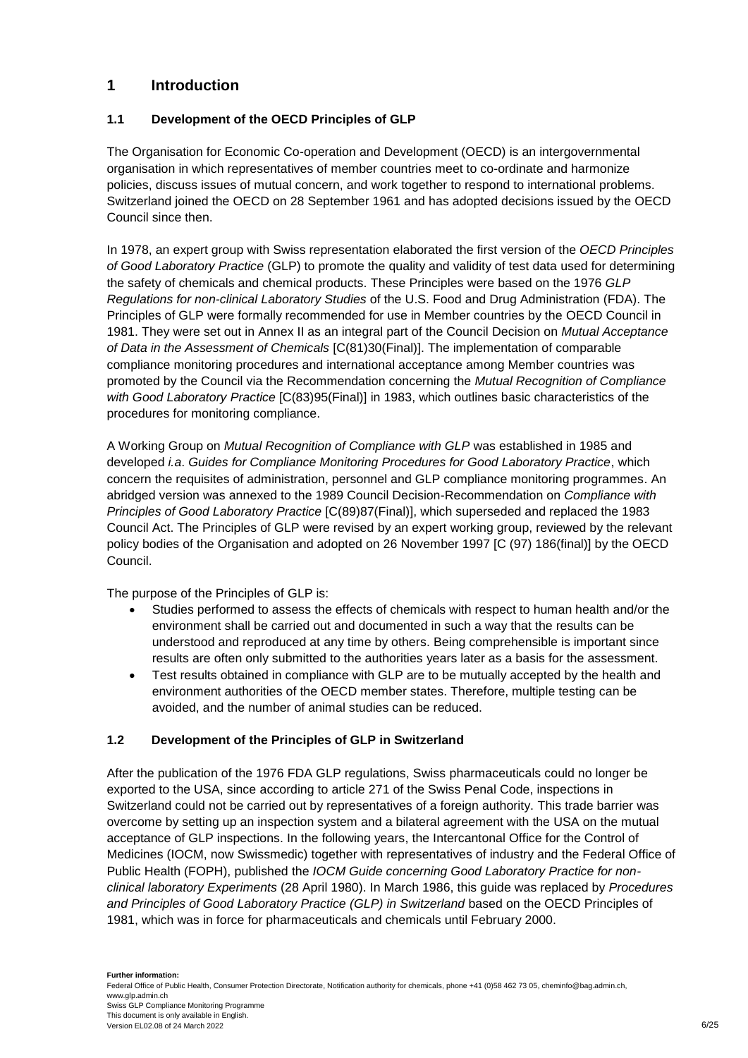## <span id="page-5-0"></span>**1 Introduction**

## <span id="page-5-1"></span>**1.1 Development of the OECD Principles of GLP**

The Organisation for Economic Co-operation and Development (OECD) is an intergovernmental organisation in which representatives of member countries meet to co-ordinate and harmonize policies, discuss issues of mutual concern, and work together to respond to international problems. Switzerland joined the OECD on 28 September 1961 and has adopted decisions issued by the OECD Council since then.

In 1978, an expert group with Swiss representation elaborated the first version of the *OECD Principles of Good Laboratory Practice* (GLP) to promote the quality and validity of test data used for determining the safety of chemicals and chemical products. These Principles were based on the 1976 *GLP Regulations for non-clinical Laboratory Studies* of the U.S. Food and Drug Administration (FDA). The Principles of GLP were formally recommended for use in Member countries by the OECD Council in 1981. They were set out in Annex II as an integral part of the Council Decision on *Mutual Acceptance of Data in the Assessment of Chemicals* [C(81)30(Final)]. The implementation of comparable compliance monitoring procedures and international acceptance among Member countries was promoted by the Council via the Recommendation concerning the *Mutual Recognition of Compliance with Good Laboratory Practice* [C(83)95(Final)] in 1983, which outlines basic characteristics of the procedures for monitoring compliance.

A Working Group on *Mutual Recognition of Compliance with GLP* was established in 1985 and developed *i.a*. *Guides for Compliance Monitoring Procedures for Good Laboratory Practice*, which concern the requisites of administration, personnel and GLP compliance monitoring programmes. An abridged version was annexed to the 1989 Council Decision-Recommendation on *Compliance with Principles of Good Laboratory Practice* [C(89)87(Final)], which superseded and replaced the 1983 Council Act. The Principles of GLP were revised by an expert working group, reviewed by the relevant policy bodies of the Organisation and adopted on 26 November 1997 [C (97) 186(final)] by the OECD Council.

The purpose of the Principles of GLP is:

- Studies performed to assess the effects of chemicals with respect to human health and/or the environment shall be carried out and documented in such a way that the results can be understood and reproduced at any time by others. Being comprehensible is important since results are often only submitted to the authorities years later as a basis for the assessment.
- Test results obtained in compliance with GLP are to be mutually accepted by the health and environment authorities of the OECD member states. Therefore, multiple testing can be avoided, and the number of animal studies can be reduced.

## <span id="page-5-2"></span>**1.2 Development of the Principles of GLP in Switzerland**

After the publication of the 1976 FDA GLP regulations, Swiss pharmaceuticals could no longer be exported to the USA, since according to article 271 of the Swiss Penal Code, inspections in Switzerland could not be carried out by representatives of a foreign authority. This trade barrier was overcome by setting up an inspection system and a bilateral agreement with the USA on the mutual acceptance of GLP inspections. In the following years, the Intercantonal Office for the Control of Medicines (IOCM, now Swissmedic) together with representatives of industry and the Federal Office of Public Health (FOPH), published the *IOCM Guide concerning Good Laboratory Practice for nonclinical laboratory Experiments* (28 April 1980). In March 1986, this guide was replaced by *Procedures and Principles of Good Laboratory Practice (GLP) in Switzerland* based on the OECD Principles of 1981, which was in force for pharmaceuticals and chemicals until February 2000.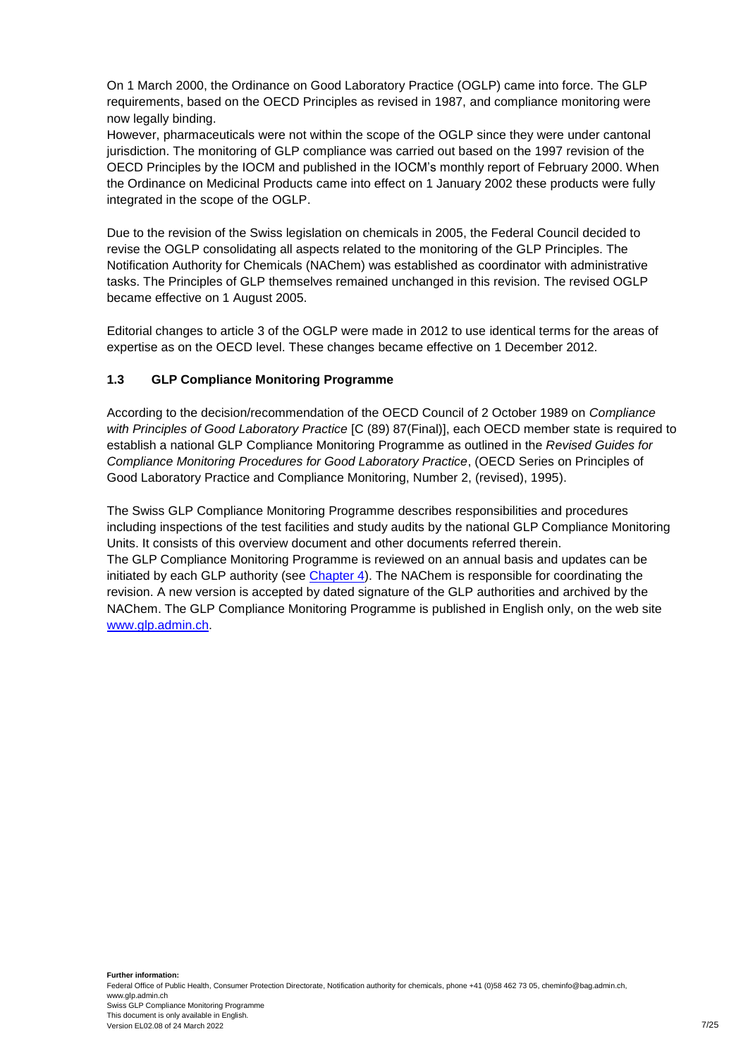On 1 March 2000, the Ordinance on Good Laboratory Practice (OGLP) came into force. The GLP requirements, based on the OECD Principles as revised in 1987, and compliance monitoring were now legally binding.

However, pharmaceuticals were not within the scope of the OGLP since they were under cantonal jurisdiction. The monitoring of GLP compliance was carried out based on the 1997 revision of the OECD Principles by the IOCM and published in the IOCM's monthly report of February 2000. When the Ordinance on Medicinal Products came into effect on 1 January 2002 these products were fully integrated in the scope of the OGLP.

Due to the revision of the Swiss legislation on chemicals in 2005, the Federal Council decided to revise the OGLP consolidating all aspects related to the monitoring of the GLP Principles. The Notification Authority for Chemicals (NAChem) was established as coordinator with administrative tasks. The Principles of GLP themselves remained unchanged in this revision. The revised OGLP became effective on 1 August 2005.

Editorial changes to article 3 of the OGLP were made in 2012 to use identical terms for the areas of expertise as on the OECD level. These changes became effective on 1 December 2012.

## <span id="page-6-0"></span>**1.3 GLP Compliance Monitoring Programme**

According to the decision/recommendation of the OECD Council of 2 October 1989 on *Compliance with Principles of Good Laboratory Practice* [C (89) 87(Final)], each OECD member state is required to establish a national GLP Compliance Monitoring Programme as outlined in the *Revised Guides for Compliance Monitoring Procedures for Good Laboratory Practice*, (OECD Series on Principles of Good Laboratory Practice and Compliance Monitoring, Number 2, (revised), 1995).

The Swiss GLP Compliance Monitoring Programme describes responsibilities and procedures including inspections of the test facilities and study audits by the national GLP Compliance Monitoring Units. It consists of this overview document and other documents referred therein. The GLP Compliance Monitoring Programme is reviewed on an annual basis and updates can be initiated by each GLP authority (see [Chapter 4\)](#page-10-1). The NAChem is responsible for coordinating the revision. A new version is accepted by dated signature of the GLP authorities and archived by the NAChem. The GLP Compliance Monitoring Programme is published in English only, on the web site [www.glp.admin.ch.](http://www.glp.admin.ch/)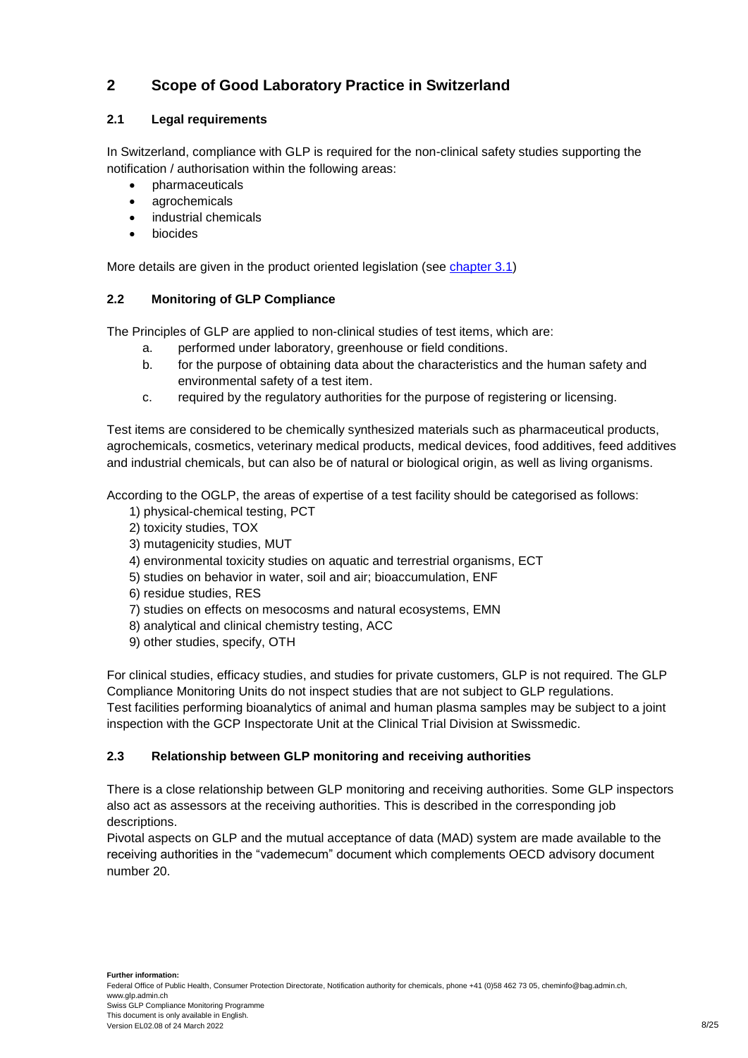## <span id="page-7-0"></span>**2 Scope of Good Laboratory Practice in Switzerland**

## <span id="page-7-1"></span>**2.1 Legal requirements**

In Switzerland, compliance with GLP is required for the non-clinical safety studies supporting the notification / authorisation within the following areas:

- pharmaceuticals
- agrochemicals
- industrial chemicals
- biocides

More details are given in the product oriented legislation (see [chapter 3.1\)](#page-8-1)

## <span id="page-7-2"></span>**2.2 Monitoring of GLP Compliance**

The Principles of GLP are applied to non-clinical studies of test items, which are:

- a. performed under laboratory, greenhouse or field conditions.
- b. for the purpose of obtaining data about the characteristics and the human safety and environmental safety of a test item.
- c. required by the regulatory authorities for the purpose of registering or licensing.

Test items are considered to be chemically synthesized materials such as pharmaceutical products, agrochemicals, cosmetics, veterinary medical products, medical devices, food additives, feed additives and industrial chemicals, but can also be of natural or biological origin, as well as living organisms.

According to the OGLP, the areas of expertise of a test facility should be categorised as follows:

- 1) physical-chemical testing, PCT
- 2) toxicity studies, TOX
- 3) mutagenicity studies, MUT
- 4) environmental toxicity studies on aquatic and terrestrial organisms, ECT
- 5) studies on behavior in water, soil and air; bioaccumulation, ENF
- 6) residue studies, RES
- 7) studies on effects on mesocosms and natural ecosystems, EMN
- 8) analytical and clinical chemistry testing, ACC
- 9) other studies, specify, OTH

For clinical studies, efficacy studies, and studies for private customers, GLP is not required. The GLP Compliance Monitoring Units do not inspect studies that are not subject to GLP regulations.

Test facilities performing bioanalytics of animal and human plasma samples may be subject to a joint inspection with the GCP Inspectorate Unit at the Clinical Trial Division at Swissmedic.

## <span id="page-7-3"></span>**2.3 Relationship between GLP monitoring and receiving authorities**

There is a close relationship between GLP monitoring and receiving authorities. Some GLP inspectors also act as assessors at the receiving authorities. This is described in the corresponding job descriptions.

<span id="page-7-4"></span>Pivotal aspects on GLP and the mutual acceptance of data (MAD) system are made available to the receiving authorities in the "vademecum" document which complements OECD advisory document number 20.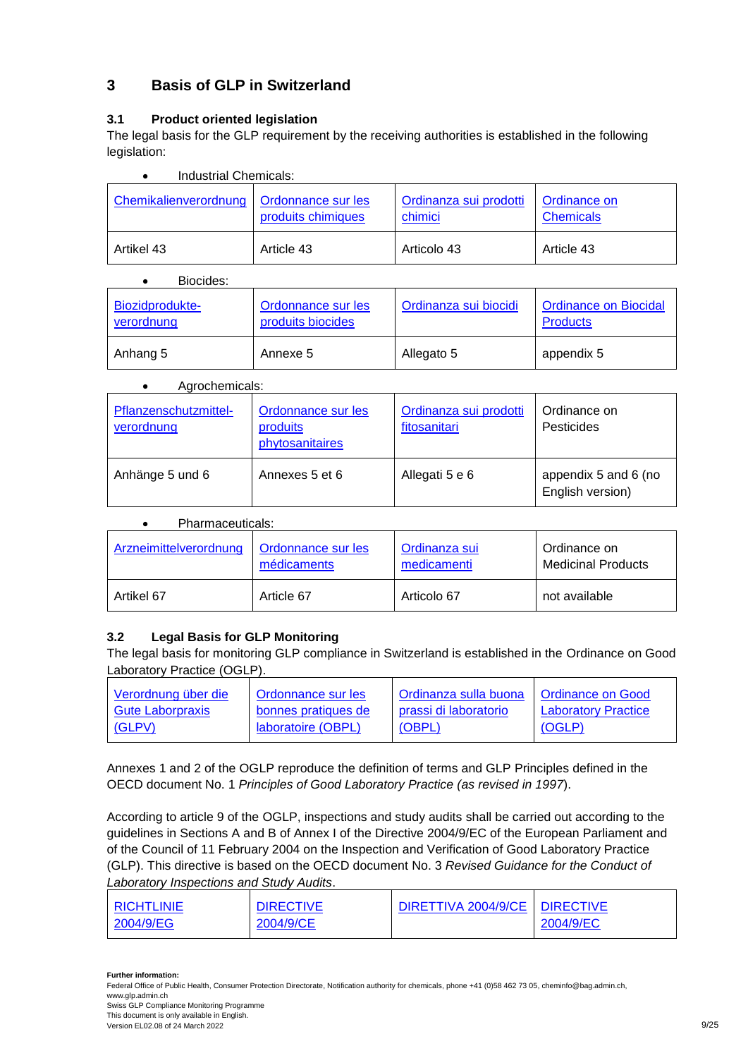## <span id="page-8-0"></span>**3 Basis of GLP in Switzerland**

## <span id="page-8-1"></span>**3.1 Product oriented legislation**

The legal basis for the GLP requirement by the receiving authorities is established in the following legislation:

| Industrial Chemicals: |                                                 |                                   |                                  |  |
|-----------------------|-------------------------------------------------|-----------------------------------|----------------------------------|--|
| Chemikalienverordnung | <b>Ordonnance sur les</b><br>produits chimiques | Ordinanza sui prodotti<br>chimici | Ordinance on<br><b>Chemicals</b> |  |
| Artikel 43            | Article 43                                      | Articolo 43                       | Article 43                       |  |

#### Biocides:

| Biozidprodukte- | Ordonnance sur les | Ordinanza sui biocidi | <b>Ordinance on Biocidal</b> |
|-----------------|--------------------|-----------------------|------------------------------|
| verordnung      | produits biocides  |                       | <b>Products</b>              |
| Anhang 5        | Annexe 5           | Allegato 5            | appendix 5                   |

#### Agrochemicals:

| Pflanzenschutzmittel-<br>verordnung | Ordonnance sur les<br>produits<br>phytosanitaires | Ordinanza sui prodotti<br>fitosanitari | Ordinance on<br>Pesticides               |
|-------------------------------------|---------------------------------------------------|----------------------------------------|------------------------------------------|
| Anhänge 5 und 6                     | Annexes 5 et 6                                    | Allegati 5 e 6                         | appendix 5 and 6 (no<br>English version) |

#### Pharmaceuticals:

| Arzneimittelverordnung | Ordonnance sur les | Ordinanza sui | Ordinance on              |
|------------------------|--------------------|---------------|---------------------------|
|                        | médicaments        | medicamenti   | <b>Medicinal Products</b> |
| Artikel 67             | Article 67         | Articolo 67   | not available             |

## <span id="page-8-2"></span>**3.2 Legal Basis for GLP Monitoring**

The legal basis for monitoring GLP compliance in Switzerland is established in the Ordinance on Good Laboratory Practice (OGLP).

| Verordnung über die     | Ordonnance sur les  | Drdinanza sulla buona   | I Ordinance on Good        |
|-------------------------|---------------------|-------------------------|----------------------------|
| <b>Gute Laborpraxis</b> | bonnes pratiques de | l prassi di laboratorio | <b>Laboratory Practice</b> |
| (GLPV)                  | laboratoire (OBPL)  | (OBPL)                  | (OGLP)                     |
|                         |                     |                         |                            |

Annexes 1 and 2 of the OGLP reproduce the definition of terms and GLP Principles defined in the OECD document No. 1 *Principles of Good Laboratory Practice (as revised in 1997*).

According to article 9 of the OGLP, inspections and study audits shall be carried out according to the guidelines in Sections A and B of Annex I of the Directive 2004/9/EC of the European Parliament and of the Council of 11 February 2004 on the Inspection and Verification of Good Laboratory Practice (GLP). This directive is based on the OECD document No. 3 *Revised Guidance for the Conduct of Laboratory Inspections and Study Audits*.

| <b>RICHTLINIE</b> | <b>DIRECTIVE</b> | DIRETTIVA 2004/9/CE   DIRECTIVE |           |
|-------------------|------------------|---------------------------------|-----------|
| 2004/9/EG         | 2004/9/CE        |                                 | 2004/9/EC |

**Further information:**

Swiss GLP Compliance Monitoring Programme This document is only available in English.

Federal Office of Public Health, Consumer Protection Directorate, Notification authority for chemicals, phone +41 (0)58 462 73 05, cheminfo@bag.admin.ch, www.glp.admin.ch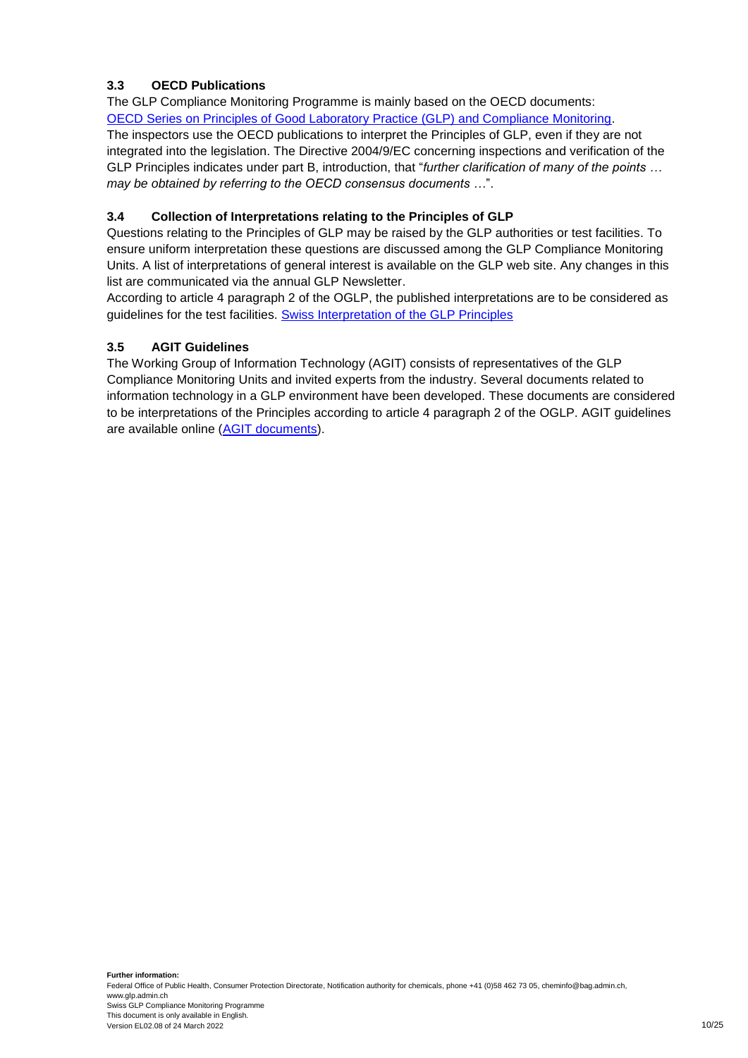## <span id="page-9-0"></span>**3.3 OECD Publications**

The GLP Compliance Monitoring Programme is mainly based on the OECD documents: [OECD Series on Principles of Good Laboratory Practice \(GLP\) and Compliance Monitoring.](http://www.oecd.org/document/63/0,3746,en_2649_37465_2346175_1_1_1_37465,00.html)

The inspectors use the OECD publications to interpret the Principles of GLP, even if they are not integrated into the legislation. The Directive 2004/9/EC concerning inspections and verification of the GLP Principles indicates under part B, introduction, that "*further clarification of many of the points … may be obtained by referring to the OECD consensus documents …*".

## <span id="page-9-1"></span>**3.4 Collection of Interpretations relating to the Principles of GLP**

Questions relating to the Principles of GLP may be raised by the GLP authorities or test facilities. To ensure uniform interpretation these questions are discussed among the GLP Compliance Monitoring Units. A list of interpretations of general interest is available on the GLP web site. Any changes in this list are communicated via the annual GLP Newsletter.

<span id="page-9-3"></span>According to article 4 paragraph 2 of the OGLP, the published interpretations are to be considered as guidelines for the test facilities. **[Swiss Interpretation of the GLP Principles](https://www.anmeldestelle.admin.ch/chem/de/home/themen/gute-laborpraxis/interpretationen.html)** 

#### <span id="page-9-2"></span>**3.5 AGIT Guidelines**

The Working Group of Information Technology (AGIT) consists of representatives of the GLP Compliance Monitoring Units and invited experts from the industry. Several documents related to information technology in a GLP environment have been developed. These documents are considered to be interpretations of the Principles according to article 4 paragraph 2 of the OGLP. AGIT guidelines are available online [\(AGIT documents\)](https://www.anmeldestelle.admin.ch/chem/en/home/themen/gute-laborpraxis/agit.html).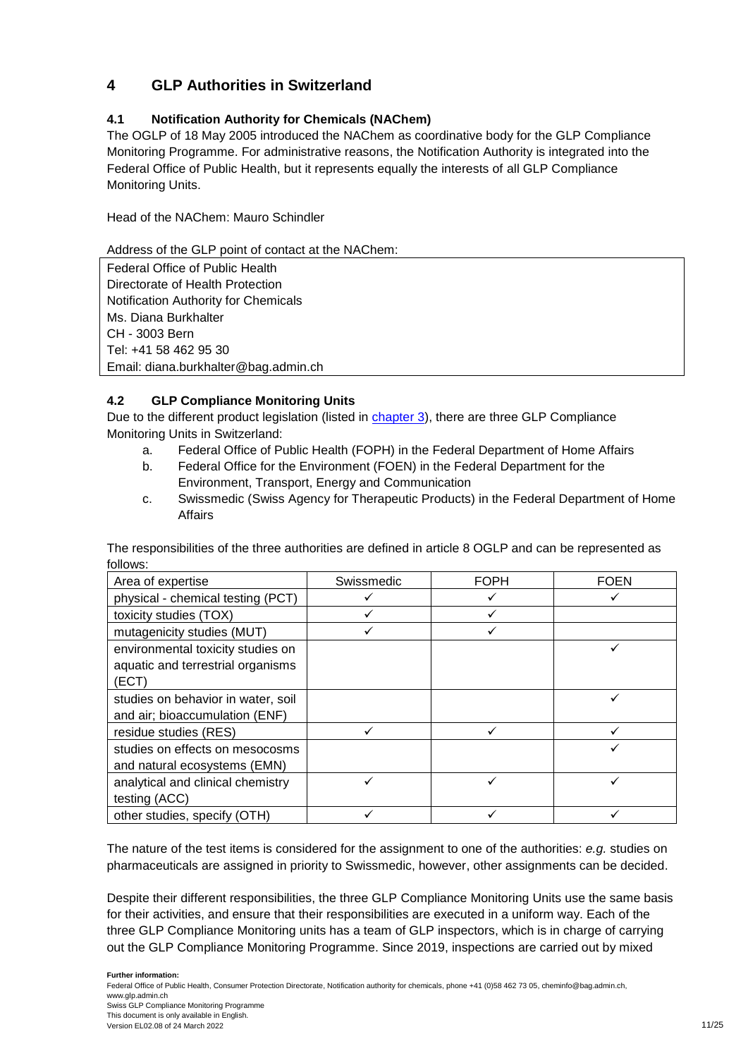## <span id="page-10-0"></span>**4 GLP Authorities in Switzerland**

## <span id="page-10-1"></span>**4.1 Notification Authority for Chemicals (NAChem)**

The OGLP of 18 May 2005 introduced the NAChem as coordinative body for the GLP Compliance Monitoring Programme. For administrative reasons, the Notification Authority is integrated into the Federal Office of Public Health, but it represents equally the interests of all GLP Compliance Monitoring Units.

Head of the NAChem: Mauro Schindler

Address of the GLP point of contact at the NAChem:

Federal Office of Public Health Directorate of Health Protection Notification Authority for Chemicals Ms. Diana Burkhalter CH - 3003 Bern Tel: +41 58 462 95 30 Email: diana.burkhalter@bag.admin.ch

## <span id="page-10-2"></span>**4.2 GLP Compliance Monitoring Units**

Due to the different product legislation (listed in [chapter 3\)](#page-7-4), there are three GLP Compliance Monitoring Units in Switzerland:

- a. Federal Office of Public Health (FOPH) in the Federal Department of Home Affairs
- b. Federal Office for the Environment (FOEN) in the Federal Department for the Environment, Transport, Energy and Communication
- c. Swissmedic (Swiss Agency for Therapeutic Products) in the Federal Department of Home Affairs

| Area of expertise                  | Swissmedic | <b>FOPH</b> | <b>FOEN</b> |
|------------------------------------|------------|-------------|-------------|
| physical - chemical testing (PCT)  |            |             |             |
| toxicity studies (TOX)             |            |             |             |
| mutagenicity studies (MUT)         |            |             |             |
| environmental toxicity studies on  |            |             |             |
| aquatic and terrestrial organisms  |            |             |             |
| (ECT)                              |            |             |             |
| studies on behavior in water, soil |            |             |             |
| and air; bioaccumulation (ENF)     |            |             |             |
| residue studies (RES)              |            |             |             |
| studies on effects on mesocosms    |            |             |             |
| and natural ecosystems (EMN)       |            |             |             |
| analytical and clinical chemistry  |            |             |             |
| testing (ACC)                      |            |             |             |
| other studies, specify (OTH)       |            |             |             |

The responsibilities of the three authorities are defined in article 8 OGLP and can be represented as follows:

The nature of the test items is considered for the assignment to one of the authorities: *e.g.* studies on pharmaceuticals are assigned in priority to Swissmedic, however, other assignments can be decided.

Despite their different responsibilities, the three GLP Compliance Monitoring Units use the same basis for their activities, and ensure that their responsibilities are executed in a uniform way. Each of the three GLP Compliance Monitoring units has a team of GLP inspectors, which is in charge of carrying out the GLP Compliance Monitoring Programme. Since 2019, inspections are carried out by mixed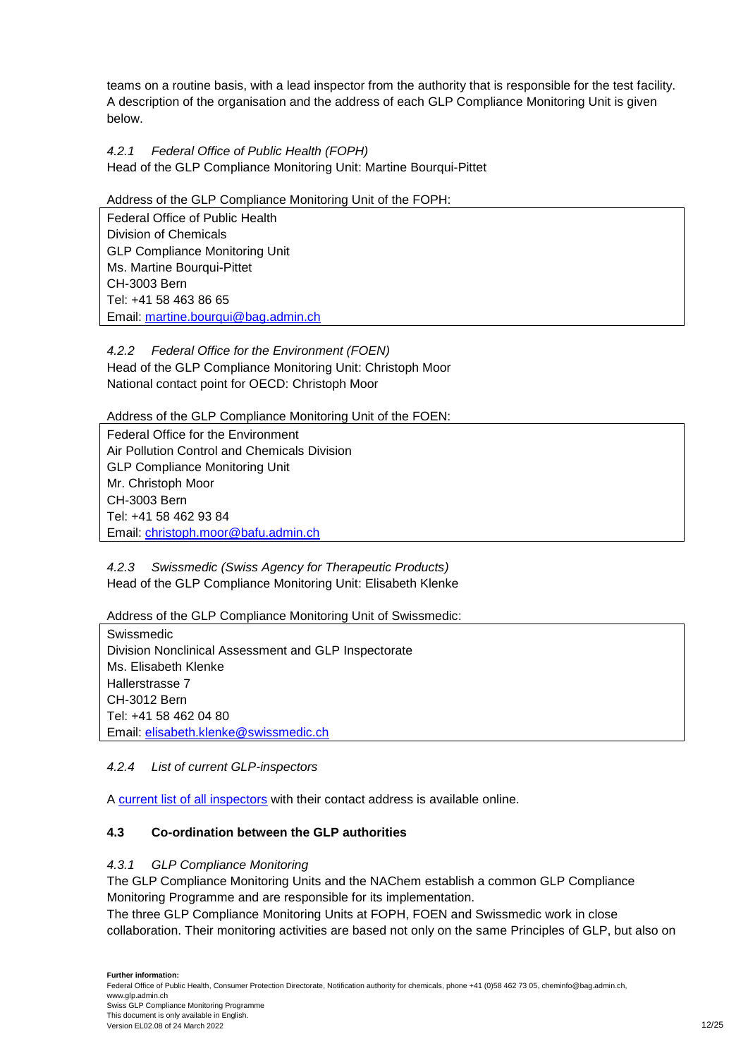teams on a routine basis, with a lead inspector from the authority that is responsible for the test facility. A description of the organisation and the address of each GLP Compliance Monitoring Unit is given below.

<span id="page-11-0"></span>*4.2.1 Federal Office of Public Health (FOPH)* Head of the GLP Compliance Monitoring Unit: Martine Bourqui-Pittet

#### Address of the GLP Compliance Monitoring Unit of the FOPH:

Federal Office of Public Health Division of Chemicals GLP Compliance Monitoring Unit Ms. Martine Bourqui-Pittet CH-3003 Bern Tel: +41 58 463 86 65 Email: [martine.bourqui@bag.admin.ch](mailto:olivier.depallens@bag.admin.ch)

<span id="page-11-1"></span>*4.2.2 Federal Office for the Environment (FOEN)* Head of the GLP Compliance Monitoring Unit: Christoph Moor National contact point for OECD: Christoph Moor

Address of the GLP Compliance Monitoring Unit of the FOEN:

Federal Office for the Environment Air Pollution Control and Chemicals Division GLP Compliance Monitoring Unit Mr. Christoph Moor CH-3003 Bern Tel: +41 58 462 93 84 Email: [christoph.moor@bafu.admin.ch](mailto:christoph.moor@bafu.admin.ch)

<span id="page-11-2"></span>*4.2.3 Swissmedic (Swiss Agency for Therapeutic Products)* Head of the GLP Compliance Monitoring Unit: Elisabeth Klenke

Address of the GLP Compliance Monitoring Unit of Swissmedic:

Swissmedic Division Nonclinical Assessment and GLP Inspectorate Ms. Elisabeth Klenke Hallerstrasse 7 CH-3012 Bern Tel: +41 58 462 04 80 Email: elisabeth.klenke@swissmedic.ch

## <span id="page-11-3"></span>*4.2.4 List of current GLP-inspectors*

A [current list of all inspectors](https://www.anmeldestelle.admin.ch/dam/chem/en/dokumente/edi-liste-glp-inspektoren.pdf.download.pdf/Liste_GLP_Inspektoren_EN.pdf) with their contact address is available online.

## <span id="page-11-4"></span>**4.3 Co-ordination between the GLP authorities**

#### <span id="page-11-5"></span>*4.3.1 GLP Compliance Monitoring*

The GLP Compliance Monitoring Units and the NAChem establish a common GLP Compliance Monitoring Programme and are responsible for its implementation.

The three GLP Compliance Monitoring Units at FOPH, FOEN and Swissmedic work in close collaboration. Their monitoring activities are based not only on the same Principles of GLP, but also on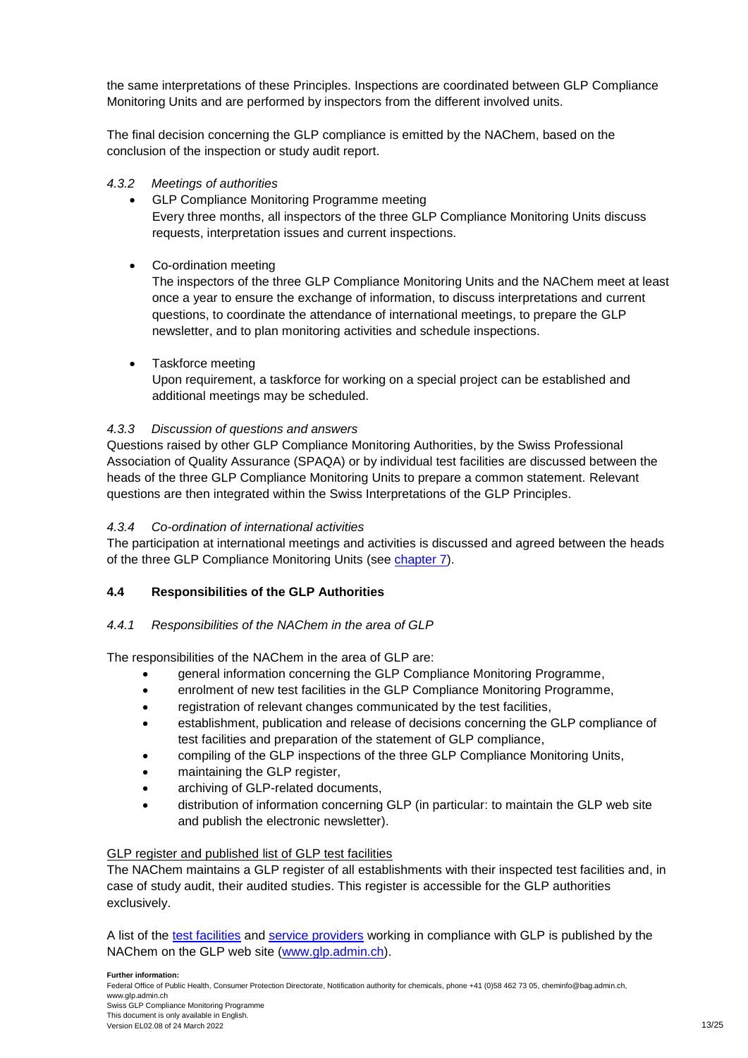the same interpretations of these Principles. Inspections are coordinated between GLP Compliance Monitoring Units and are performed by inspectors from the different involved units.

The final decision concerning the GLP compliance is emitted by the NAChem, based on the conclusion of the inspection or study audit report.

#### <span id="page-12-0"></span>*4.3.2 Meetings of authorities*

- GLP Compliance Monitoring Programme meeting Every three months, all inspectors of the three GLP Compliance Monitoring Units discuss requests, interpretation issues and current inspections.
- Co-ordination meeting

The inspectors of the three GLP Compliance Monitoring Units and the NAChem meet at least once a year to ensure the exchange of information, to discuss interpretations and current questions, to coordinate the attendance of international meetings, to prepare the GLP newsletter, and to plan monitoring activities and schedule inspections.

• Taskforce meeting

Upon requirement, a taskforce for working on a special project can be established and additional meetings may be scheduled.

#### <span id="page-12-1"></span>*4.3.3 Discussion of questions and answers*

Questions raised by other GLP Compliance Monitoring Authorities, by the Swiss Professional Association of Quality Assurance (SPAQA) or by individual test facilities are discussed between the heads of the three GLP Compliance Monitoring Units to prepare a common statement. Relevant questions are then integrated within the Swiss Interpretations of the GLP Principles.

#### <span id="page-12-2"></span>*4.3.4 Co-ordination of international activities*

The participation at international meetings and activities is discussed and agreed between the heads of the three GLP Compliance Monitoring Units (see [chapter 7\)](#page-24-1).

## <span id="page-12-3"></span>**4.4 Responsibilities of the GLP Authorities**

#### <span id="page-12-4"></span>*4.4.1 Responsibilities of the NAChem in the area of GLP*

The responsibilities of the NAChem in the area of GLP are:

- general information concerning the GLP Compliance Monitoring Programme,
- enrolment of new test facilities in the GLP Compliance Monitoring Programme,
- registration of relevant changes communicated by the test facilities,
- establishment, publication and release of decisions concerning the GLP compliance of test facilities and preparation of the statement of GLP compliance,
- compiling of the GLP inspections of the three GLP Compliance Monitoring Units,
- maintaining the GLP register,
- archiving of GLP-related documents,
- distribution of information concerning GLP (in particular: to maintain the GLP web site and publish the electronic newsletter).

#### GLP register and published list of GLP test facilities

The NAChem maintains a GLP register of all establishments with their inspected test facilities and, in case of study audit, their audited studies. This register is accessible for the GLP authorities exclusively.

A list of the [test facilities](http://www.anmeldestelle.admin.ch/chem/en/home/themen/gute-laborpraxis/pruefeinrichtungen.html) and [service providers](http://www.anmeldestelle.admin.ch/chem/en/home/themen/gute-laborpraxis/service-providers.html) working in compliance with GLP is published by the NAChem on the GLP web site [\(www.glp.admin.ch\)](http://www.glp.admin.ch/).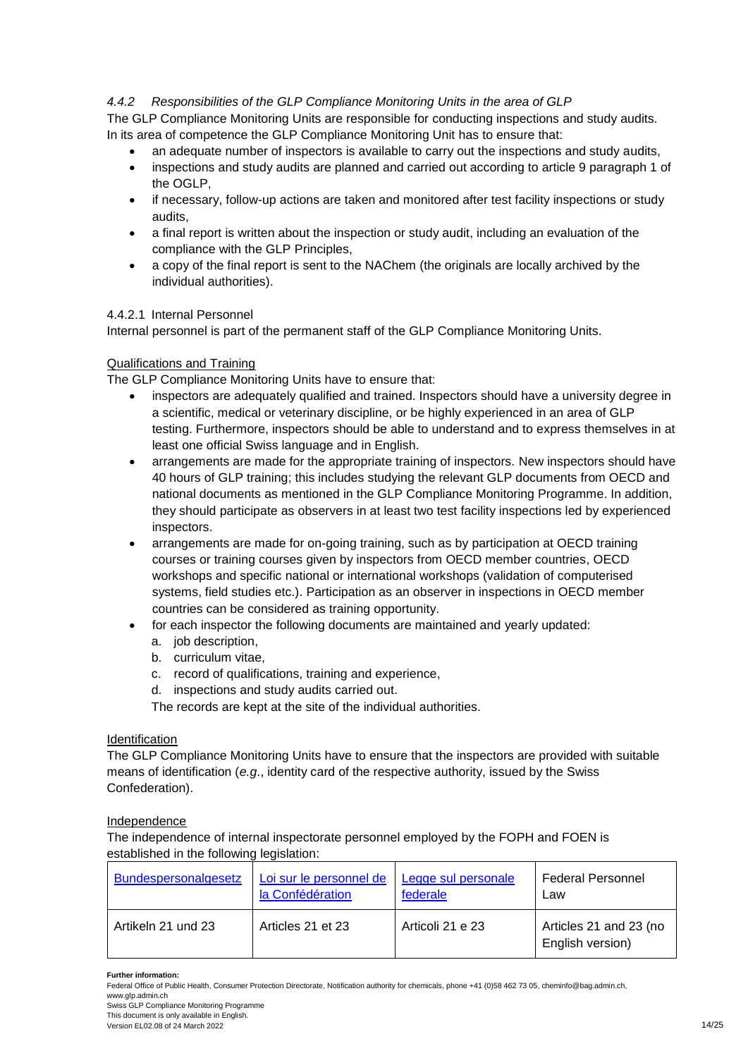#### <span id="page-13-0"></span>*4.4.2 Responsibilities of the GLP Compliance Monitoring Units in the area of GLP*

The GLP Compliance Monitoring Units are responsible for conducting inspections and study audits. In its area of competence the GLP Compliance Monitoring Unit has to ensure that:

- an adequate number of inspectors is available to carry out the inspections and study audits,
- inspections and study audits are planned and carried out according to article 9 paragraph 1 of the OGLP,
- if necessary, follow-up actions are taken and monitored after test facility inspections or study audits,
- a final report is written about the inspection or study audit, including an evaluation of the compliance with the GLP Principles,
- a copy of the final report is sent to the NAChem (the originals are locally archived by the individual authorities).

#### <span id="page-13-1"></span>4.4.2.1 Internal Personnel

Internal personnel is part of the permanent staff of the GLP Compliance Monitoring Units.

#### Qualifications and Training

The GLP Compliance Monitoring Units have to ensure that:

- inspectors are adequately qualified and trained. Inspectors should have a university degree in a scientific, medical or veterinary discipline, or be highly experienced in an area of GLP testing. Furthermore, inspectors should be able to understand and to express themselves in at least one official Swiss language and in English.
- arrangements are made for the appropriate training of inspectors. New inspectors should have 40 hours of GLP training; this includes studying the relevant GLP documents from OECD and national documents as mentioned in the GLP Compliance Monitoring Programme. In addition, they should participate as observers in at least two test facility inspections led by experienced inspectors.
- arrangements are made for on-going training, such as by participation at OECD training courses or training courses given by inspectors from OECD member countries, OECD workshops and specific national or international workshops (validation of computerised systems, field studies etc.). Participation as an observer in inspections in OECD member countries can be considered as training opportunity.
- for each inspector the following documents are maintained and yearly updated:
	- a. job description,
	- b. curriculum vitae,
	- c. record of qualifications, training and experience,
	- d. inspections and study audits carried out.

The records are kept at the site of the individual authorities.

#### **Identification**

The GLP Compliance Monitoring Units have to ensure that the inspectors are provided with suitable means of identification (*e.g*., identity card of the respective authority, issued by the Swiss Confederation).

#### Independence

The independence of internal inspectorate personnel employed by the FOPH and FOEN is established in the following legislation:

| <b>Bundespersonalgesetz</b> | Loi sur le personnel de | Legge sul personale | <b>Federal Personnel</b>                   |
|-----------------------------|-------------------------|---------------------|--------------------------------------------|
|                             | la Confédération        | federale            | Law                                        |
| Artikeln 21 und 23          | Articles 21 et 23       | Articoli 21 e 23    | Articles 21 and 23 (no<br>English version) |

#### **Further information:**

Swiss GLP Compliance Monitoring Programme This document is only available in English.

Version EL02.08 of 24 March 2022 2008 14/25

Federal Office of Public Health, Consumer Protection Directorate, Notification authority for chemicals, phone +41 (0)58 462 73 05, cheminfo@bag.admin.ch, www.glp.admin.ch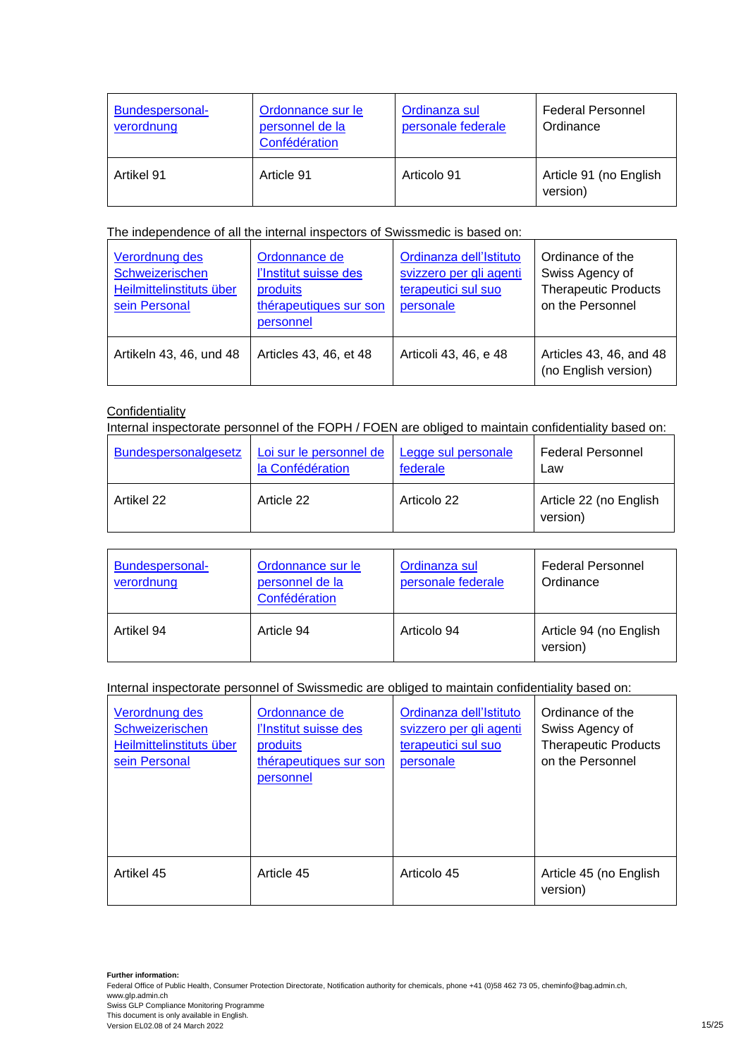| Bundespersonal-<br>verordnung | Ordonnance sur le<br>personnel de la<br>Confédération | Ordinanza sul<br>personale federale | <b>Federal Personnel</b><br>Ordinance |
|-------------------------------|-------------------------------------------------------|-------------------------------------|---------------------------------------|
| Artikel 91                    | Article 91                                            | Articolo 91                         | Article 91 (no English<br>version)    |

#### The independence of all the internal inspectors of Swissmedic is based on:

| Verordnung des<br>Schweizerischen<br>Heilmittelinstituts über<br>sein Personal | Ordonnance de<br>l'Institut suisse des<br>produits<br>thérapeutiques sur son<br>personnel | Ordinanza dell'Istituto<br>svizzero per gli agenti<br>terapeutici sul suo<br>personale | Ordinance of the<br>Swiss Agency of<br><b>Therapeutic Products</b><br>on the Personnel |
|--------------------------------------------------------------------------------|-------------------------------------------------------------------------------------------|----------------------------------------------------------------------------------------|----------------------------------------------------------------------------------------|
| Artikeln 43, 46, und 48                                                        | Articles 43, 46, et 48                                                                    | Articoli 43, 46, e 48                                                                  | Articles 43, 46, and 48<br>(no English version)                                        |

## **Confidentiality**

Internal inspectorate personnel of the FOPH / FOEN are obliged to maintain confidentiality based on:

| Bundespersonalgesetz | Loi sur le personnel de | Legge sul personale | <b>Federal Personnel</b>           |
|----------------------|-------------------------|---------------------|------------------------------------|
|                      | la Confédération        | federale            | Law                                |
| Artikel 22           | Article 22              | Articolo 22         | Article 22 (no English<br>version) |

| Bundespersonal-<br>verordnung | Ordonnance sur le<br>personnel de la<br>Confédération | Ordinanza sul<br>personale federale | <b>Federal Personnel</b><br>Ordinance |
|-------------------------------|-------------------------------------------------------|-------------------------------------|---------------------------------------|
| Artikel 94                    | Article 94                                            | Articolo 94                         | Article 94 (no English<br>version)    |

Internal inspectorate personnel of Swissmedic are obliged to maintain confidentiality based on:

| Verordnung des<br>Schweizerischen<br>Heilmittelinstituts über<br>sein Personal | Ordonnance de<br>l'Institut suisse des<br>produits<br>thérapeutiques sur son<br>personnel | Ordinanza dell'Istituto<br>svizzero per gli agenti<br>terapeutici sul suo<br>personale | Ordinance of the<br>Swiss Agency of<br><b>Therapeutic Products</b><br>on the Personnel |
|--------------------------------------------------------------------------------|-------------------------------------------------------------------------------------------|----------------------------------------------------------------------------------------|----------------------------------------------------------------------------------------|
| Artikel 45                                                                     | Article 45                                                                                | Articolo 45                                                                            | Article 45 (no English<br>version)                                                     |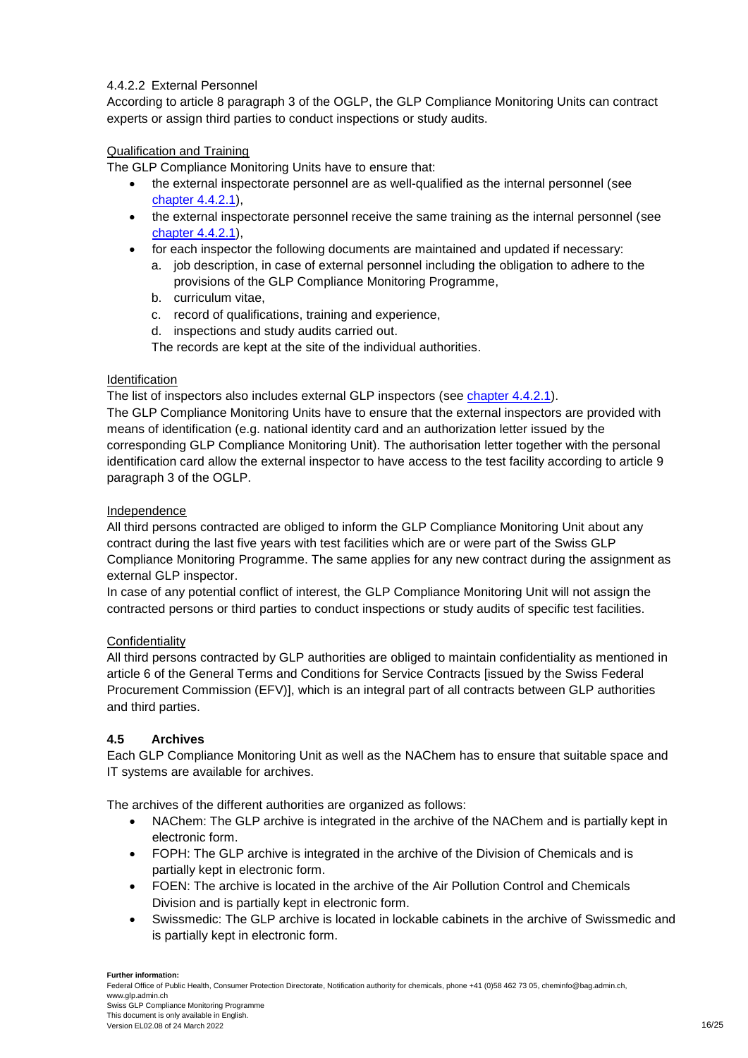#### 4.4.2.2 External Personnel

According to article 8 paragraph 3 of the OGLP, the GLP Compliance Monitoring Units can contract experts or assign third parties to conduct inspections or study audits.

#### Qualification and Training

The GLP Compliance Monitoring Units have to ensure that:

- the external inspectorate personnel are as well-qualified as the internal personnel (see [chapter 4.4.2.1\)](#page-13-1),
- the external inspectorate personnel receive the same training as the internal personnel (see [chapter 4.4.2.1\)](#page-13-1),
- for each inspector the following documents are maintained and updated if necessary:
	- a. job description, in case of external personnel including the obligation to adhere to the provisions of the GLP Compliance Monitoring Programme,
	- b. curriculum vitae,
	- c. record of qualifications, training and experience,
	- d. inspections and study audits carried out.

The records are kept at the site of the individual authorities.

#### Identification

The list of inspectors also includes external GLP inspectors (see [chapter 4.4.2.1\)](#page-13-1).

The GLP Compliance Monitoring Units have to ensure that the external inspectors are provided with means of identification (e.g. national identity card and an authorization letter issued by the corresponding GLP Compliance Monitoring Unit). The authorisation letter together with the personal identification card allow the external inspector to have access to the test facility according to article 9 paragraph 3 of the OGLP.

#### Independence

All third persons contracted are obliged to inform the GLP Compliance Monitoring Unit about any contract during the last five years with test facilities which are or were part of the Swiss GLP Compliance Monitoring Programme. The same applies for any new contract during the assignment as external GLP inspector.

In case of any potential conflict of interest, the GLP Compliance Monitoring Unit will not assign the contracted persons or third parties to conduct inspections or study audits of specific test facilities.

#### **Confidentiality**

All third persons contracted by GLP authorities are obliged to maintain confidentiality as mentioned in article 6 of the General Terms and Conditions for Service Contracts [issued by the Swiss Federal Procurement Commission (EFV)], which is an integral part of all contracts between GLP authorities and third parties.

#### <span id="page-15-0"></span>**4.5 Archives**

Each GLP Compliance Monitoring Unit as well as the NAChem has to ensure that suitable space and IT systems are available for archives.

The archives of the different authorities are organized as follows:

- NAChem: The GLP archive is integrated in the archive of the NAChem and is partially kept in electronic form.
- FOPH: The GLP archive is integrated in the archive of the Division of Chemicals and is partially kept in electronic form.
- FOEN: The archive is located in the archive of the Air Pollution Control and Chemicals Division and is partially kept in electronic form.
- Swissmedic: The GLP archive is located in lockable cabinets in the archive of Swissmedic and is partially kept in electronic form.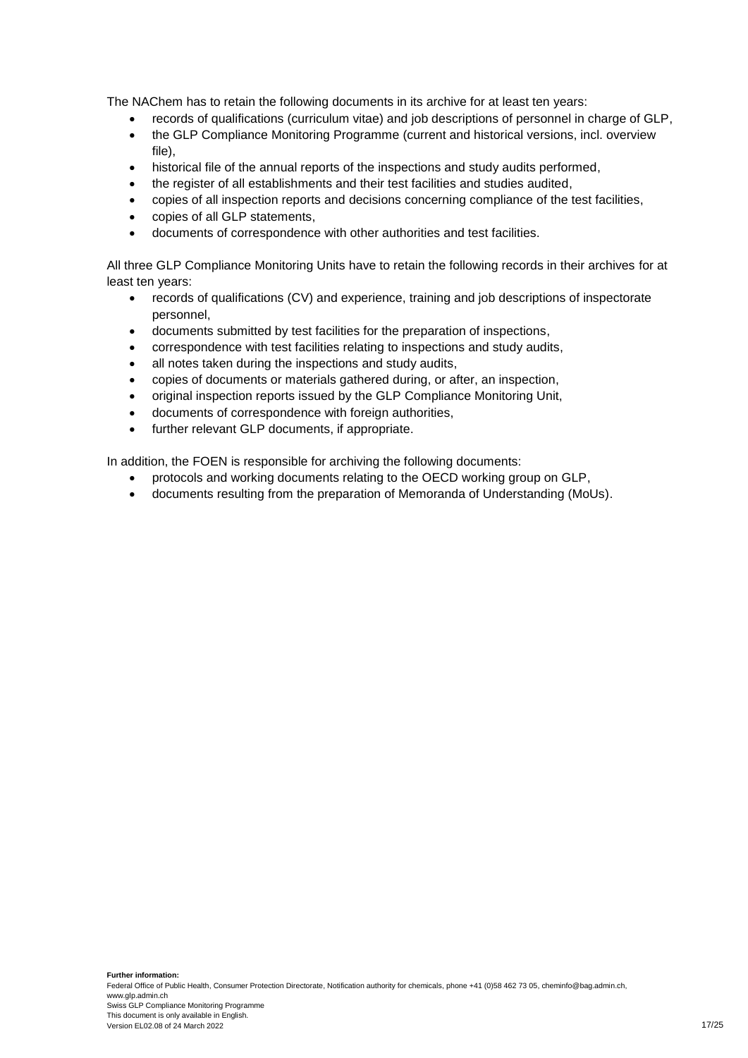The NAChem has to retain the following documents in its archive for at least ten years:

- records of qualifications (curriculum vitae) and job descriptions of personnel in charge of GLP,
- the GLP Compliance Monitoring Programme (current and historical versions, incl. overview file),
- historical file of the annual reports of the inspections and study audits performed,
- the register of all establishments and their test facilities and studies audited,
- copies of all inspection reports and decisions concerning compliance of the test facilities,
- copies of all GLP statements,
- documents of correspondence with other authorities and test facilities.

All three GLP Compliance Monitoring Units have to retain the following records in their archives for at least ten years:

- records of qualifications (CV) and experience, training and job descriptions of inspectorate personnel,
- documents submitted by test facilities for the preparation of inspections,
- correspondence with test facilities relating to inspections and study audits,
- all notes taken during the inspections and study audits,
- copies of documents or materials gathered during, or after, an inspection,
- original inspection reports issued by the GLP Compliance Monitoring Unit,
- documents of correspondence with foreign authorities,
- further relevant GLP documents, if appropriate.

In addition, the FOEN is responsible for archiving the following documents:

- protocols and working documents relating to the OECD working group on GLP,
- documents resulting from the preparation of Memoranda of Understanding (MoUs).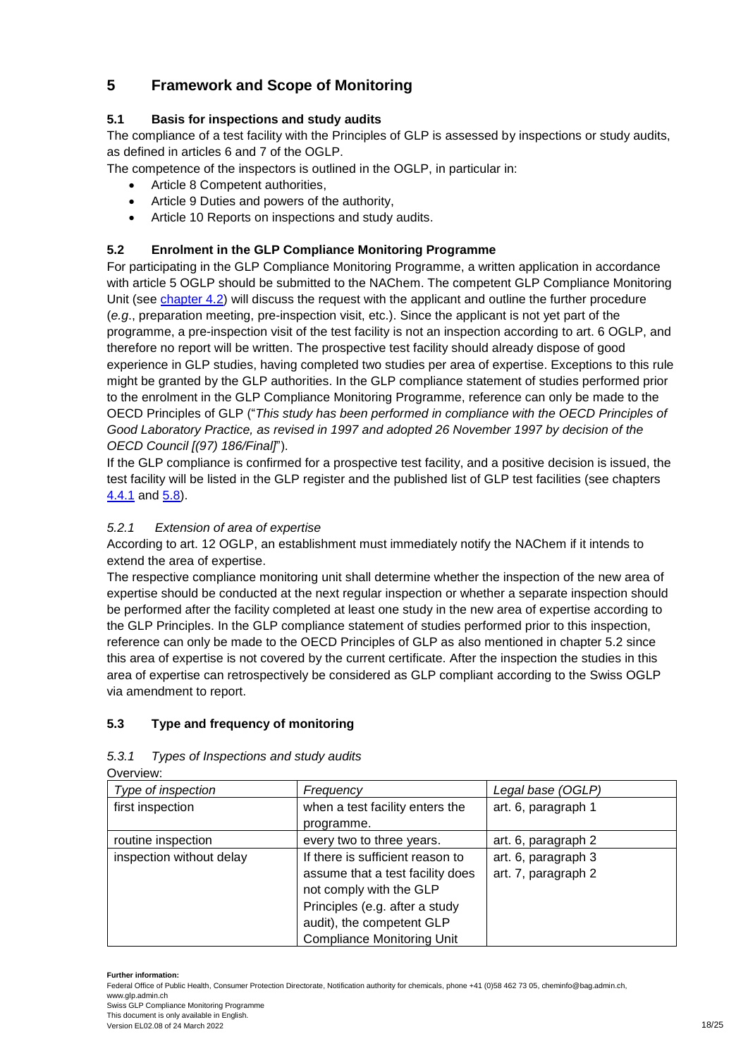## <span id="page-17-0"></span>**5 Framework and Scope of Monitoring**

## <span id="page-17-1"></span>**5.1 Basis for inspections and study audits**

The compliance of a test facility with the Principles of GLP is assessed by inspections or study audits, as defined in articles 6 and 7 of the OGLP.

The competence of the inspectors is outlined in the OGLP, in particular in:

- Article 8 Competent authorities,
- Article 9 Duties and powers of the authority,
- Article 10 Reports on inspections and study audits.

## <span id="page-17-2"></span>**5.2 Enrolment in the GLP Compliance Monitoring Programme**

For participating in the GLP Compliance Monitoring Programme, a written application in accordance with article 5 OGLP should be submitted to the NAChem. The competent GLP Compliance Monitoring Unit (see [chapter](#page-10-2) 4.2) will discuss the request with the applicant and outline the further procedure (*e.g*., preparation meeting, pre-inspection visit, etc.). Since the applicant is not yet part of the programme, a pre-inspection visit of the test facility is not an inspection according to art. 6 OGLP, and therefore no report will be written. The prospective test facility should already dispose of good experience in GLP studies, having completed two studies per area of expertise. Exceptions to this rule might be granted by the GLP authorities. In the GLP compliance statement of studies performed prior to the enrolment in the GLP Compliance Monitoring Programme, reference can only be made to the OECD Principles of GLP ("*This study has been performed in compliance with the OECD Principles of Good Laboratory Practice, as revised in 1997 and adopted 26 November 1997 by decision of the OECD Council [(97) 186/Final]*").

If the GLP compliance is confirmed for a prospective test facility, and a positive decision is issued, the test facility will be listed in the GLP register and the published list of GLP test facilities (see chapters [4.4.1](#page-12-4) and [5.8\)](#page-21-2).

## <span id="page-17-3"></span>*5.2.1 Extension of area of expertise*

According to art. 12 OGLP, an establishment must immediately notify the NAChem if it intends to extend the area of expertise.

The respective compliance monitoring unit shall determine whether the inspection of the new area of expertise should be conducted at the next regular inspection or whether a separate inspection should be performed after the facility completed at least one study in the new area of expertise according to the GLP Principles. In the GLP compliance statement of studies performed prior to this inspection, reference can only be made to the OECD Principles of GLP as also mentioned in chapter 5.2 since this area of expertise is not covered by the current certificate. After the inspection the studies in this area of expertise can retrospectively be considered as GLP compliant according to the Swiss OGLP via amendment to report.

## <span id="page-17-4"></span>**5.3 Type and frequency of monitoring**

| OVEIVIEW.                |                                   |                     |
|--------------------------|-----------------------------------|---------------------|
| Type of inspection       | Frequency                         | Legal base (OGLP)   |
| first inspection         | when a test facility enters the   | art. 6, paragraph 1 |
|                          | programme.                        |                     |
| routine inspection       | every two to three years.         | art. 6, paragraph 2 |
| inspection without delay | If there is sufficient reason to  | art. 6, paragraph 3 |
|                          | assume that a test facility does  | art. 7, paragraph 2 |
|                          | not comply with the GLP           |                     |
|                          | Principles (e.g. after a study    |                     |
|                          | audit), the competent GLP         |                     |
|                          | <b>Compliance Monitoring Unit</b> |                     |

## <span id="page-17-5"></span>*5.3.1 Types of Inspections and study audits*

 $\sim$ 

Swiss GLP Compliance Monitoring Programme This document is only available in English.

Version EL02.08 of 24 March 2022 18/25

**Further information:**

Federal Office of Public Health, Consumer Protection Directorate, Notification authority for chemicals, phone +41 (0)58 462 73 05, cheminfo@bag.admin.ch, www.glp.admin.ch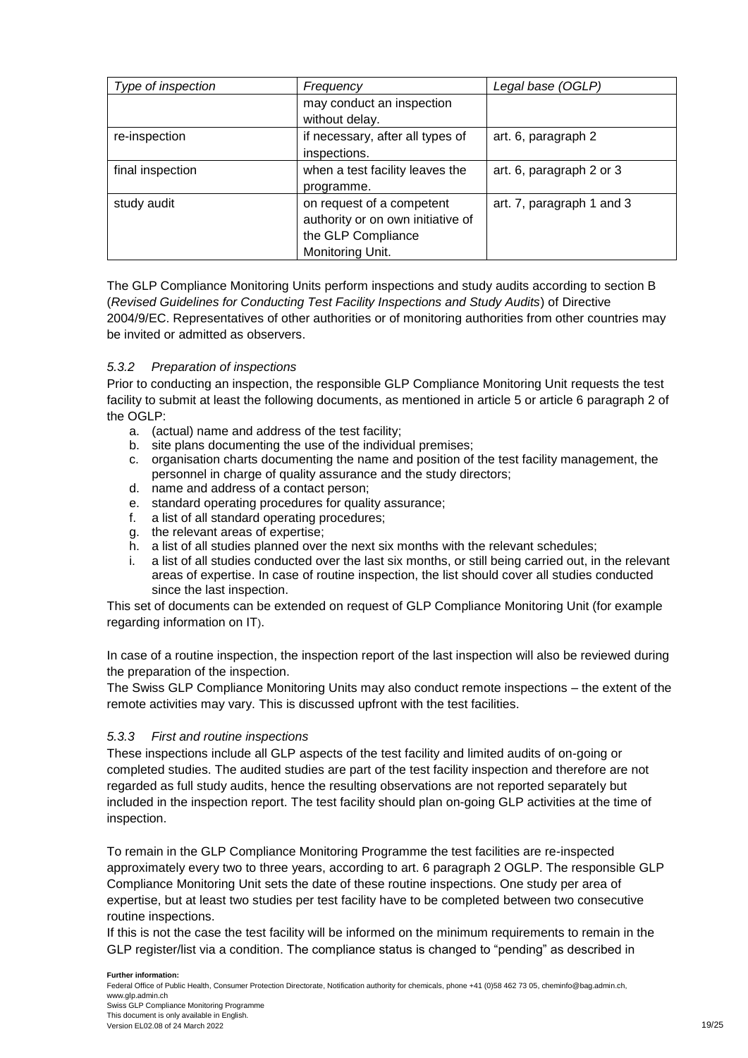| Type of inspection | Frequency                         | Legal base (OGLP)         |
|--------------------|-----------------------------------|---------------------------|
|                    | may conduct an inspection         |                           |
|                    | without delay.                    |                           |
| re-inspection      | if necessary, after all types of  | art. 6, paragraph 2       |
|                    | inspections.                      |                           |
| final inspection   | when a test facility leaves the   | art. 6, paragraph 2 or 3  |
|                    | programme.                        |                           |
| study audit        | on request of a competent         | art. 7, paragraph 1 and 3 |
|                    | authority or on own initiative of |                           |
|                    | the GLP Compliance                |                           |
|                    | Monitoring Unit.                  |                           |

The GLP Compliance Monitoring Units perform inspections and study audits according to section B (*Revised Guidelines for Conducting Test Facility Inspections and Study Audits*) of Directive 2004/9/EC. Representatives of other authorities or of monitoring authorities from other countries may be invited or admitted as observers.

#### <span id="page-18-0"></span>*5.3.2 Preparation of inspections*

Prior to conducting an inspection, the responsible GLP Compliance Monitoring Unit requests the test facility to submit at least the following documents, as mentioned in article 5 or article 6 paragraph 2 of the OGLP:

- a. (actual) name and address of the test facility;
- b. site plans documenting the use of the individual premises;
- c. organisation charts documenting the name and position of the test facility management, the personnel in charge of quality assurance and the study directors;
- d. name and address of a contact person;
- e. standard operating procedures for quality assurance;
- f. a list of all standard operating procedures;
- g. the relevant areas of expertise;
- h. a list of all studies planned over the next six months with the relevant schedules;
- i. a list of all studies conducted over the last six months, or still being carried out, in the relevant areas of expertise. In case of routine inspection, the list should cover all studies conducted since the last inspection.

This set of documents can be extended on request of GLP Compliance Monitoring Unit (for example regarding information on IT).

In case of a routine inspection, the inspection report of the last inspection will also be reviewed during the preparation of the inspection.

The Swiss GLP Compliance Monitoring Units may also conduct remote inspections – the extent of the remote activities may vary. This is discussed upfront with the test facilities.

#### <span id="page-18-1"></span>*5.3.3 First and routine inspections*

These inspections include all GLP aspects of the test facility and limited audits of on-going or completed studies. The audited studies are part of the test facility inspection and therefore are not regarded as full study audits, hence the resulting observations are not reported separately but included in the inspection report. The test facility should plan on-going GLP activities at the time of inspection.

To remain in the GLP Compliance Monitoring Programme the test facilities are re-inspected approximately every two to three years, according to art. 6 paragraph 2 OGLP. The responsible GLP Compliance Monitoring Unit sets the date of these routine inspections. One study per area of expertise, but at least two studies per test facility have to be completed between two consecutive routine inspections.

If this is not the case the test facility will be informed on the minimum requirements to remain in the GLP register/list via a condition. The compliance status is changed to "pending" as described in

#### **Further information:**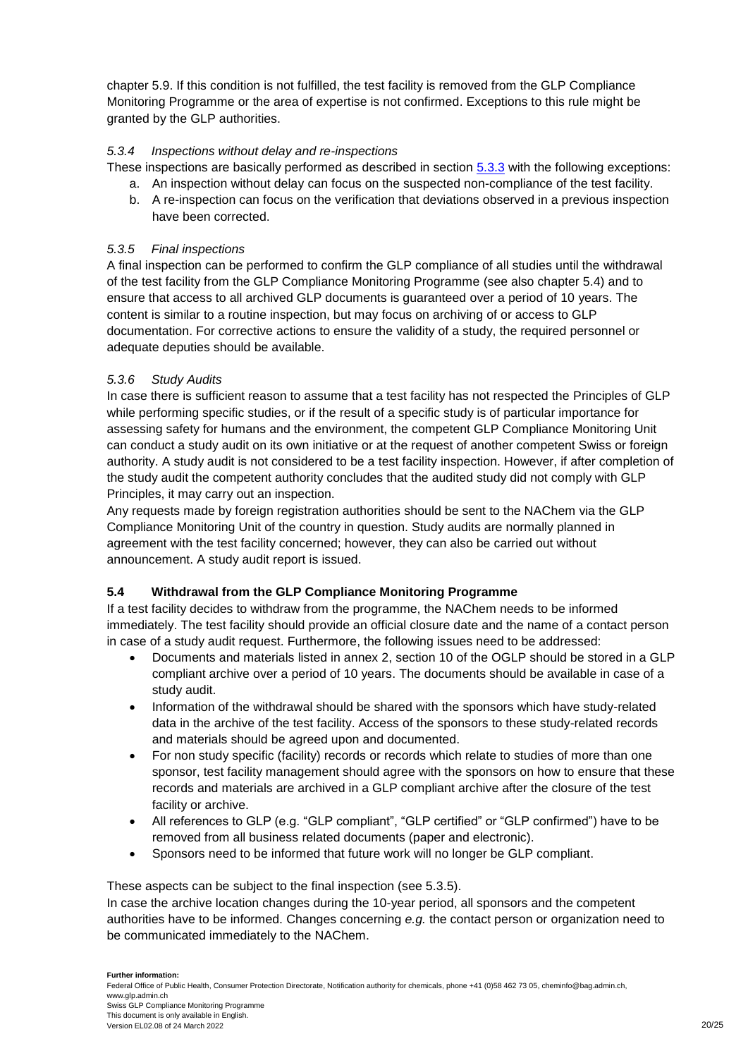chapter 5.9. If this condition is not fulfilled, the test facility is removed from the GLP Compliance Monitoring Programme or the area of expertise is not confirmed. Exceptions to this rule might be granted by the GLP authorities.

#### <span id="page-19-0"></span>*5.3.4 Inspections without delay and re-inspections*

These inspections are basically performed as described in section [5.3.3](#page-18-1) with the following exceptions:

- a. An inspection without delay can focus on the suspected non-compliance of the test facility.
- b. A re-inspection can focus on the verification that deviations observed in a previous inspection have been corrected.

#### <span id="page-19-1"></span>*5.3.5 Final inspections*

A final inspection can be performed to confirm the GLP compliance of all studies until the withdrawal of the test facility from the GLP Compliance Monitoring Programme (see also chapter 5.4) and to ensure that access to all archived GLP documents is guaranteed over a period of 10 years. The content is similar to a routine inspection, but may focus on archiving of or access to GLP documentation. For corrective actions to ensure the validity of a study, the required personnel or adequate deputies should be available.

#### <span id="page-19-2"></span>*5.3.6 Study Audits*

In case there is sufficient reason to assume that a test facility has not respected the Principles of GLP while performing specific studies, or if the result of a specific study is of particular importance for assessing safety for humans and the environment, the competent GLP Compliance Monitoring Unit can conduct a study audit on its own initiative or at the request of another competent Swiss or foreign authority. A study audit is not considered to be a test facility inspection. However, if after completion of the study audit the competent authority concludes that the audited study did not comply with GLP Principles, it may carry out an inspection.

Any requests made by foreign registration authorities should be sent to the NAChem via the GLP Compliance Monitoring Unit of the country in question. Study audits are normally planned in agreement with the test facility concerned; however, they can also be carried out without announcement. A study audit report is issued.

## <span id="page-19-3"></span>**5.4 Withdrawal from the GLP Compliance Monitoring Programme**

If a test facility decides to withdraw from the programme, the NAChem needs to be informed immediately. The test facility should provide an official closure date and the name of a contact person in case of a study audit request. Furthermore, the following issues need to be addressed:

- Documents and materials listed in annex 2, section 10 of the OGLP should be stored in a GLP compliant archive over a period of 10 years. The documents should be available in case of a study audit.
- Information of the withdrawal should be shared with the sponsors which have study-related data in the archive of the test facility. Access of the sponsors to these study-related records and materials should be agreed upon and documented.
- For non study specific (facility) records or records which relate to studies of more than one sponsor, test facility management should agree with the sponsors on how to ensure that these records and materials are archived in a GLP compliant archive after the closure of the test facility or archive.
- All references to GLP (e.g. "GLP compliant", "GLP certified" or "GLP confirmed") have to be removed from all business related documents (paper and electronic).
- Sponsors need to be informed that future work will no longer be GLP compliant.

These aspects can be subject to the final inspection (see 5.3.5).

In case the archive location changes during the 10-year period, all sponsors and the competent authorities have to be informed. Changes concerning *e.g.* the contact person or organization need to be communicated immediately to the NAChem.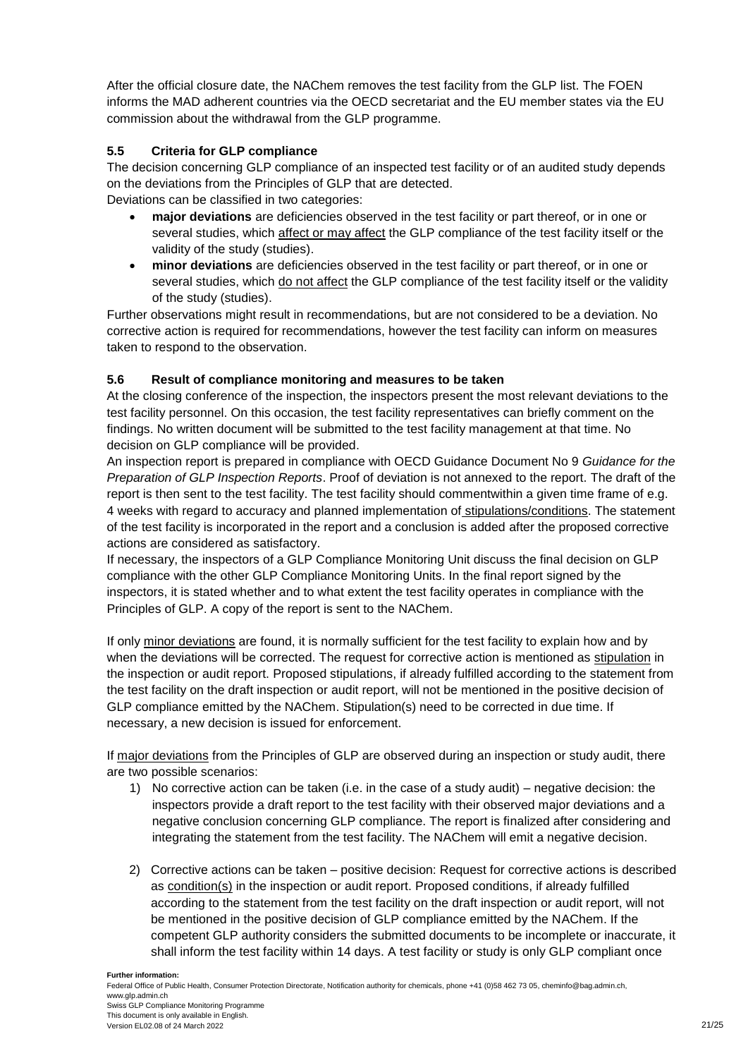After the official closure date, the NAChem removes the test facility from the GLP list. The FOEN informs the MAD adherent countries via the OECD secretariat and the EU member states via the EU commission about the withdrawal from the GLP programme.

## <span id="page-20-0"></span>**5.5 Criteria for GLP compliance**

The decision concerning GLP compliance of an inspected test facility or of an audited study depends on the deviations from the Principles of GLP that are detected. Deviations can be classified in two categories:

- **major deviations** are deficiencies observed in the test facility or part thereof, or in one or several studies, which affect or may affect the GLP compliance of the test facility itself or the validity of the study (studies).
- **minor deviations** are deficiencies observed in the test facility or part thereof, or in one or several studies, which do not affect the GLP compliance of the test facility itself or the validity of the study (studies).

Further observations might result in recommendations, but are not considered to be a deviation. No corrective action is required for recommendations, however the test facility can inform on measures taken to respond to the observation.

#### <span id="page-20-1"></span>**5.6 Result of compliance monitoring and measures to be taken**

At the closing conference of the inspection, the inspectors present the most relevant deviations to the test facility personnel. On this occasion, the test facility representatives can briefly comment on the findings. No written document will be submitted to the test facility management at that time. No decision on GLP compliance will be provided.

An inspection report is prepared in compliance with OECD Guidance Document No 9 *Guidance for the Preparation of GLP Inspection Reports*. Proof of deviation is not annexed to the report. The draft of the report is then sent to the test facility. The test facility should commentwithin a given time frame of e.g. 4 weeks with regard to accuracy and planned implementation of stipulations/conditions. The statement of the test facility is incorporated in the report and a conclusion is added after the proposed corrective actions are considered as satisfactory.

If necessary, the inspectors of a GLP Compliance Monitoring Unit discuss the final decision on GLP compliance with the other GLP Compliance Monitoring Units. In the final report signed by the inspectors, it is stated whether and to what extent the test facility operates in compliance with the Principles of GLP. A copy of the report is sent to the NAChem.

If only minor deviations are found, it is normally sufficient for the test facility to explain how and by when the deviations will be corrected. The request for corrective action is mentioned as stipulation in the inspection or audit report. Proposed stipulations, if already fulfilled according to the statement from the test facility on the draft inspection or audit report, will not be mentioned in the positive decision of GLP compliance emitted by the NAChem. Stipulation(s) need to be corrected in due time. If necessary, a new decision is issued for enforcement.

If major deviations from the Principles of GLP are observed during an inspection or study audit, there are two possible scenarios:

- 1) No corrective action can be taken (i.e. in the case of a study audit) negative decision: the inspectors provide a draft report to the test facility with their observed major deviations and a negative conclusion concerning GLP compliance. The report is finalized after considering and integrating the statement from the test facility. The NAChem will emit a negative decision.
- 2) Corrective actions can be taken positive decision: Request for corrective actions is described as condition(s) in the inspection or audit report. Proposed conditions, if already fulfilled according to the statement from the test facility on the draft inspection or audit report, will not be mentioned in the positive decision of GLP compliance emitted by the NAChem. If the competent GLP authority considers the submitted documents to be incomplete or inaccurate, it shall inform the test facility within 14 days. A test facility or study is only GLP compliant once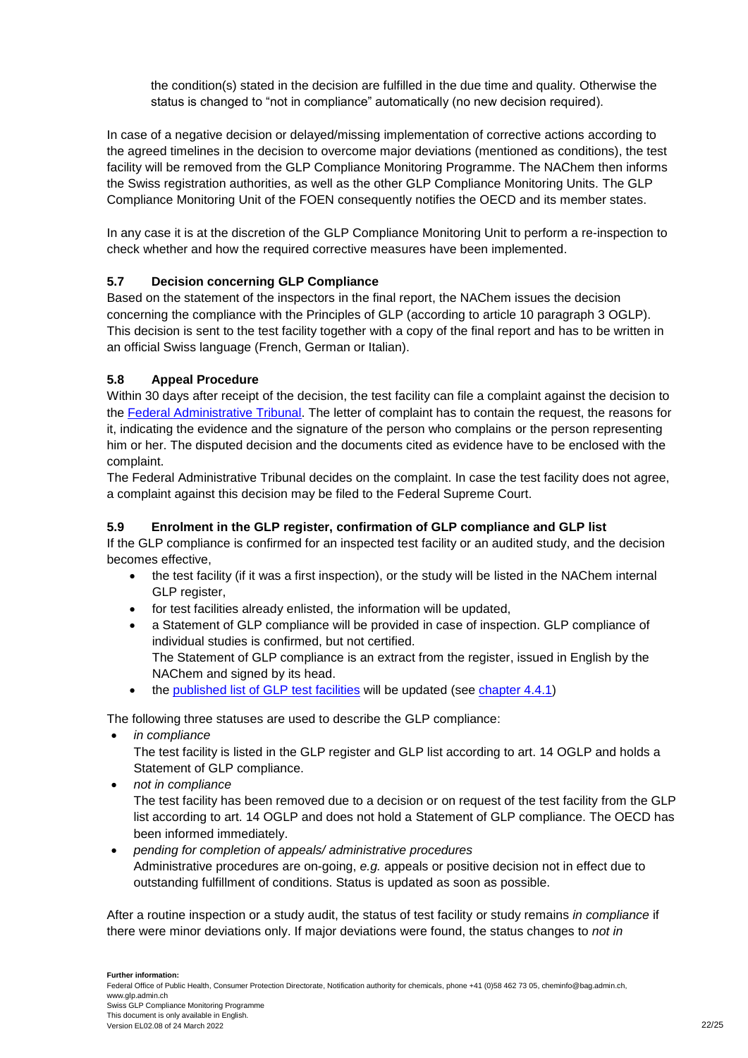the condition(s) stated in the decision are fulfilled in the due time and quality. Otherwise the status is changed to "not in compliance" automatically (no new decision required).

In case of a negative decision or delayed/missing implementation of corrective actions according to the agreed timelines in the decision to overcome major deviations (mentioned as conditions), the test facility will be removed from the GLP Compliance Monitoring Programme. The NAChem then informs the Swiss registration authorities, as well as the other GLP Compliance Monitoring Units. The GLP Compliance Monitoring Unit of the FOEN consequently notifies the OECD and its member states.

In any case it is at the discretion of the GLP Compliance Monitoring Unit to perform a re-inspection to check whether and how the required corrective measures have been implemented.

## <span id="page-21-0"></span>**5.7 Decision concerning GLP Compliance**

Based on the statement of the inspectors in the final report, the NAChem issues the decision concerning the compliance with the Principles of GLP (according to article 10 paragraph 3 OGLP). This decision is sent to the test facility together with a copy of the final report and has to be written in an official Swiss language (French, German or Italian).

## <span id="page-21-1"></span>**5.8 Appeal Procedure**

Within 30 days after receipt of the decision, the test facility can file a complaint against the decision to the [Federal Administrative Tribunal.](http://www.bvger.ch/) The letter of complaint has to contain the request, the reasons for it, indicating the evidence and the signature of the person who complains or the person representing him or her. The disputed decision and the documents cited as evidence have to be enclosed with the complaint.

The Federal Administrative Tribunal decides on the complaint. In case the test facility does not agree, a complaint against this decision may be filed to the Federal Supreme Court.

#### <span id="page-21-2"></span>**5.9 Enrolment in the GLP register, confirmation of GLP compliance and GLP list**

If the GLP compliance is confirmed for an inspected test facility or an audited study, and the decision becomes effective,

- the test facility (if it was a first inspection), or the study will be listed in the NAChem internal GLP register.
- for test facilities already enlisted, the information will be updated,
- a Statement of GLP compliance will be provided in case of inspection. GLP compliance of individual studies is confirmed, but not certified. The Statement of GLP compliance is an extract from the register, issued in English by the NAChem and signed by its head.
- the [published list of GLP](https://www.anmeldestelle.admin.ch/chem/en/home/themen/gute-laborpraxis/pruefeinrichtungen.html) test facilities will be updated (see [chapter 4.4.1\)](#page-12-4)

The following three statuses are used to describe the GLP compliance:

*in compliance*

The test facility is listed in the GLP register and GLP list according to art. 14 OGLP and holds a Statement of GLP compliance.

*not in compliance*

The test facility has been removed due to a decision or on request of the test facility from the GLP list according to art. 14 OGLP and does not hold a Statement of GLP compliance. The OECD has been informed immediately.

 *pending for completion of appeals/ administrative procedures* Administrative procedures are on-going, *e.g.* appeals or positive decision not in effect due to outstanding fulfillment of conditions. Status is updated as soon as possible.

After a routine inspection or a study audit, the status of test facility or study remains *in compliance* if there were minor deviations only. If major deviations were found, the status changes to *not in*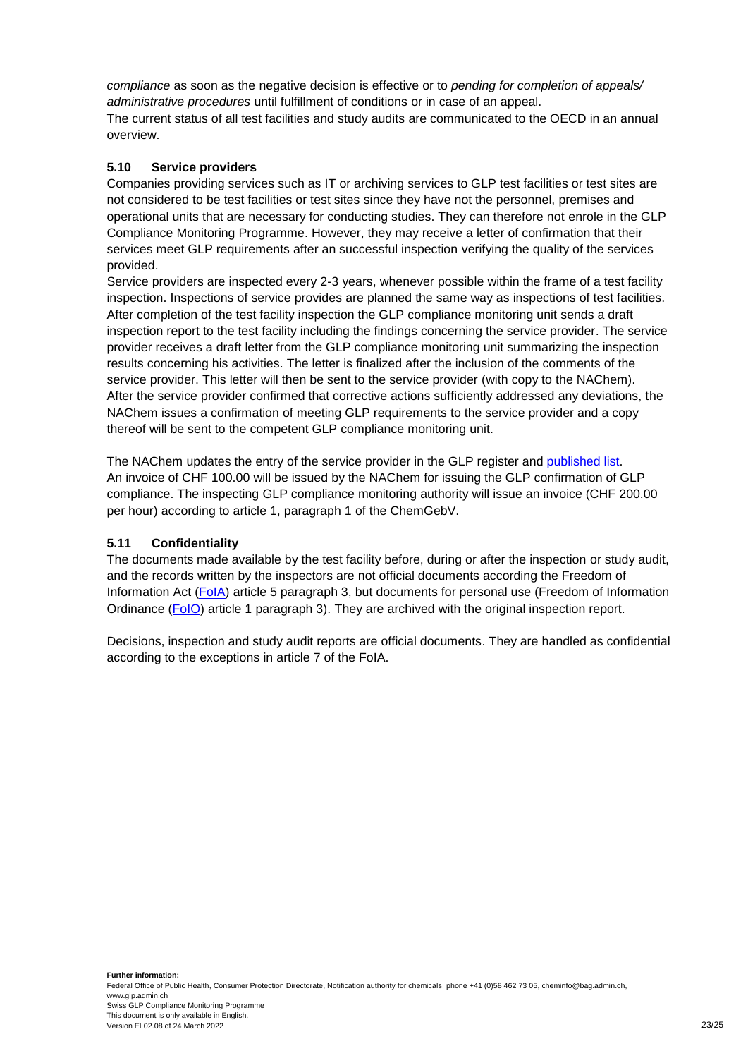*compliance* as soon as the negative decision is effective or to *pending for completion of appeals/ administrative procedures* until fulfillment of conditions or in case of an appeal. The current status of all test facilities and study audits are communicated to the OECD in an annual overview.

#### <span id="page-22-0"></span>**5.10 Service providers**

Companies providing services such as IT or archiving services to GLP test facilities or test sites are not considered to be test facilities or test sites since they have not the personnel, premises and operational units that are necessary for conducting studies. They can therefore not enrole in the GLP Compliance Monitoring Programme. However, they may receive a letter of confirmation that their services meet GLP requirements after an successful inspection verifying the quality of the services provided.

Service providers are inspected every 2-3 years, whenever possible within the frame of a test facility inspection. Inspections of service provides are planned the same way as inspections of test facilities. After completion of the test facility inspection the GLP compliance monitoring unit sends a draft inspection report to the test facility including the findings concerning the service provider. The service provider receives a draft letter from the GLP compliance monitoring unit summarizing the inspection results concerning his activities. The letter is finalized after the inclusion of the comments of the service provider. This letter will then be sent to the service provider (with copy to the NAChem). After the service provider confirmed that corrective actions sufficiently addressed any deviations, the NAChem issues a confirmation of meeting GLP requirements to the service provider and a copy thereof will be sent to the competent GLP compliance monitoring unit.

The NAChem updates the entry of the service provider in the GLP register and [published list.](https://www.anmeldestelle.admin.ch/chem/en/home/themen/gute-laborpraxis/service-providers.html) An invoice of CHF 100.00 will be issued by the NAChem for issuing the GLP confirmation of GLP compliance. The inspecting GLP compliance monitoring authority will issue an invoice (CHF 200.00 per hour) according to article 1, paragraph 1 of the ChemGebV.

#### <span id="page-22-1"></span>**5.11 Confidentiality**

The documents made available by the test facility before, during or after the inspection or study audit, and the records written by the inspectors are not official documents according the Freedom of Information Act [\(FoIA\)](http://www.admin.ch/ch/e/rs/c152_3.html) article 5 paragraph 3, but documents for personal use (Freedom of Information Ordinance [\(FoIO\)](http://www.admin.ch/ch/e/rs/c152_31.html) article 1 paragraph 3). They are archived with the original inspection report.

Decisions, inspection and study audit reports are official documents. They are handled as confidential according to the exceptions in article 7 of the FoIA.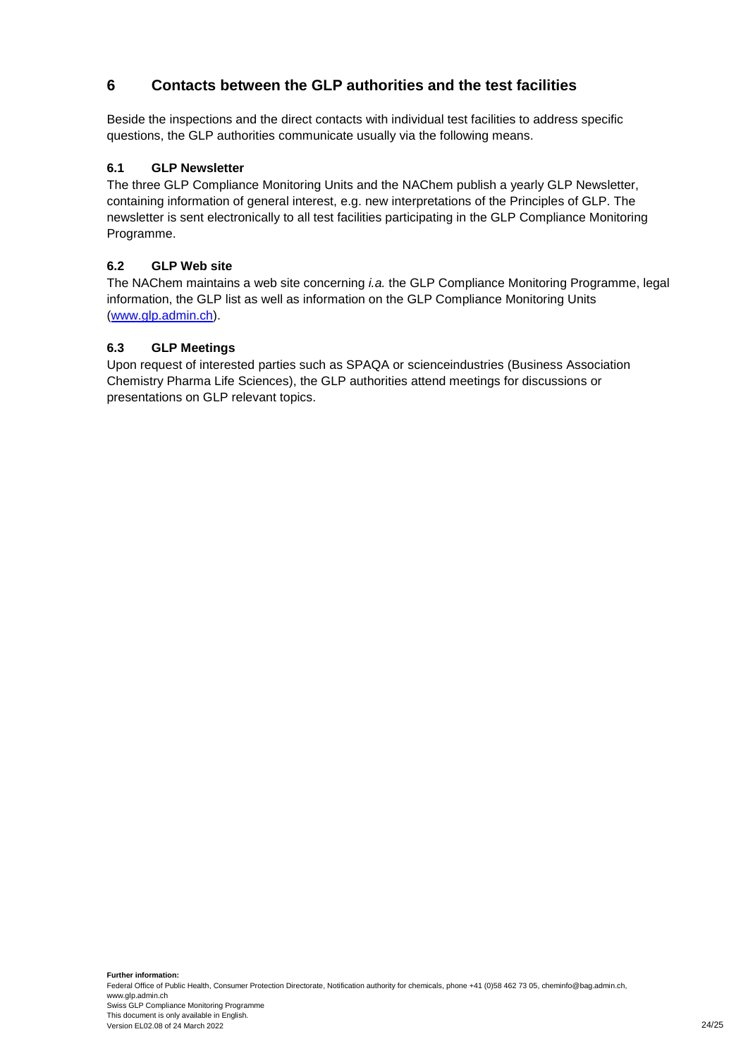## <span id="page-23-0"></span>**6 Contacts between the GLP authorities and the test facilities**

Beside the inspections and the direct contacts with individual test facilities to address specific questions, the GLP authorities communicate usually via the following means.

## <span id="page-23-1"></span>**6.1 GLP Newsletter**

The three GLP Compliance Monitoring Units and the NAChem publish a yearly GLP Newsletter, containing information of general interest, e.g. new interpretations of the Principles of GLP. The newsletter is sent electronically to all test facilities participating in the GLP Compliance Monitoring Programme.

#### <span id="page-23-2"></span>**6.2 GLP Web site**

The NAChem maintains a web site concerning *i.a.* the GLP Compliance Monitoring Programme, legal information, the GLP list as well as information on the GLP Compliance Monitoring Units [\(www.glp.admin.ch\)](http://www.glp.admin.ch/).

## <span id="page-23-3"></span>**6.3 GLP Meetings**

Upon request of interested parties such as SPAQA or scienceindustries (Business Association Chemistry Pharma Life Sciences), the GLP authorities attend meetings for discussions or presentations on GLP relevant topics.